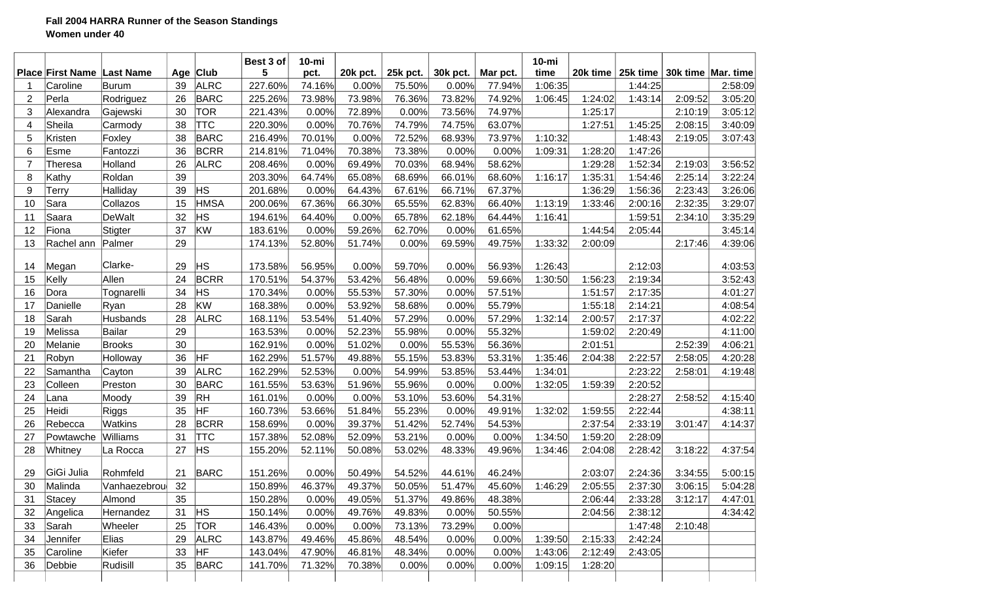## **Fall 2004 HARRA Runner of the Season Standings Women under 40**

|                |                                     |                                  |    |                         | Best 3 of    | $10 - mi$      |                   |                    |                   |                    | $10 - mi$       |             |                     |         |                                 |
|----------------|-------------------------------------|----------------------------------|----|-------------------------|--------------|----------------|-------------------|--------------------|-------------------|--------------------|-----------------|-------------|---------------------|---------|---------------------------------|
|                | <b>Place First Name</b><br>Caroline | <b>Last Name</b><br><b>Burum</b> | 39 | Age Club<br><b>ALRC</b> | 5<br>227.60% | pct.<br>74.16% | 20k pct.<br>0.00% | 25k pct.<br>75.50% | 30k pct.<br>0.00% | Mar pct.<br>77.94% | time<br>1:06:35 | 20 $k$ time | 25k time<br>1:44:25 |         | 30k time   Mar. time<br>2:58:09 |
| $\overline{2}$ | Perla                               | Rodriguez                        | 26 | <b>BARC</b>             | 225.26%      | 73.98%         | 73.98%            | 76.36%             | 73.82%            | 74.92%             | 1:06:45         | 1:24:02     | 1:43:14             | 2:09:52 | 3:05:20                         |
| 3              | Alexandra                           | Gajewski                         | 30 | <b>TOR</b>              | 221.43%      | 0.00%          | 72.89%            | 0.00%              | 73.56%            | 74.97%             |                 | 1:25:17     |                     | 2:10:19 | 3:05:12                         |
| 4              | Sheila                              | Carmody                          | 38 | <b>TTC</b>              | 220.30%      | 0.00%          | 70.76%            | 74.79%             | 74.75%            | 63.07%             |                 | 1:27:51     | 1:45:25             | 2:08:15 | 3:40:09                         |
| 5              | Kristen                             | Foxley                           | 38 | <b>BARC</b>             | 216.49%      | 70.01%         | 0.00%             | 72.52%             | 68.93%            | 73.97%             | 1:10:32         |             | 1:48:43             | 2:19:05 | 3:07:43                         |
| 6              | Esme                                | Fantozzi                         | 36 | <b>BCRR</b>             | 214.81%      | 71.04%         | 70.38%            | 73.38%             | 0.00%             | 0.00%              | 1:09:31         | 1:28:20     | 1:47:26             |         |                                 |
| $\overline{7}$ | Theresa                             | Holland                          | 26 | <b>ALRC</b>             | 208.46%      | 0.00%          | 69.49%            | 70.03%             | 68.94%            | 58.62%             |                 | 1:29:28     | 1:52:34             | 2:19:03 | 3:56:52                         |
| 8              | Kathy                               | Roldan                           | 39 |                         | 203.30%      | 64.74%         | 65.08%            | 68.69%             | 66.01%            | 68.60%             | 1:16:17         | 1:35:31     | 1:54:46             | 2:25:14 | 3:22:24                         |
| 9              | Terry                               | Halliday                         | 39 | HS                      | 201.68%      | 0.00%          | 64.43%            | 67.61%             | 66.71%            | 67.37%             |                 | 1:36:29     | 1:56:36             | 2:23:43 | 3:26:06                         |
| 10             | Sara                                | Collazos                         | 15 | <b>HMSA</b>             | 200.06%      | 67.36%         | 66.30%            | 65.55%             | 62.83%            | 66.40%             | 1:13:19         | 1:33:46     | 2:00:16             | 2:32:35 | 3:29:07                         |
| 11             | Saara                               | DeWalt                           | 32 | HS                      | 194.61%      | 64.40%         | 0.00%             | 65.78%             | 62.18%            | 64.44%             | 1:16:41         |             | 1:59:51             | 2:34:10 | 3:35:29                         |
| 12             | Fiona                               |                                  | 37 | KW                      |              |                | 59.26%            | 62.70%             |                   | 61.65%             |                 | 1:44:54     | 2:05:44             |         |                                 |
|                |                                     | Stigter                          | 29 |                         | 183.61%      | 0.00%          |                   |                    | 0.00%             |                    |                 |             |                     |         | 3:45:14                         |
| 13             | Rachel ann                          | Palmer                           |    |                         | 174.13%      | 52.80%         | 51.74%            | 0.00%              | 69.59%            | 49.75%             | 1:33:32         | 2:00:09     |                     | 2:17:46 | 4:39:06                         |
| 14             | Megan                               | Clarke-                          | 29 | ΗS                      | 173.58%      | 56.95%         | 0.00%             | 59.70%             | 0.00%             | 56.93%             | 1:26:43         |             | 2:12:03             |         | 4:03:53                         |
| 15             | Kelly                               | Allen                            | 24 | <b>BCRR</b>             | 170.51%      | 54.37%         | 53.42%            | 56.48%             | 0.00%             | 59.66%             | 1:30:50         | 1:56:23     | 2:19:34             |         | 3:52:43                         |
| 16             | Dora                                | Tognarelli                       | 34 | <b>HS</b>               | 170.34%      | 0.00%          | 55.53%            | 57.30%             | 0.00%             | 57.51%             |                 | 1:51:57     | 2:17:35             |         | 4:01:27                         |
| 17             | Danielle                            | Ryan                             | 28 | KW                      | 168.38%      | 0.00%          | 53.92%            | 58.68%             | 0.00%             | 55.79%             |                 | 1:55:18     | 2:14:21             |         | 4:08:54                         |
| 18             | Sarah                               | Husbands                         | 28 | <b>ALRC</b>             | 168.11%      | 53.54%         | 51.40%            | 57.29%             | 0.00%             | 57.29%             | 1:32:14         | 2:00:57     | 2:17:37             |         | 4:02:22                         |
| 19             | Melissa                             | <b>Bailar</b>                    | 29 |                         | 163.53%      | 0.00%          | 52.23%            | 55.98%             | 0.00%             | 55.32%             |                 | 1:59:02     | 2:20:49             |         | 4:11:00                         |
| 20             | Melanie                             | <b>Brooks</b>                    | 30 |                         | 162.91%      | 0.00%          | 51.02%            | 0.00%              | 55.53%            | 56.36%             |                 | 2:01:51     |                     | 2:52:39 | 4:06:21                         |
| 21             | Robyn                               | Holloway                         | 36 | HF                      | 162.29%      | 51.57%         | 49.88%            | 55.15%             | 53.83%            | 53.31%             | 1:35:46         | 2:04:38     | 2:22:57             | 2:58:05 | 4:20:28                         |
| 22             | Samantha                            | Cayton                           | 39 | <b>ALRC</b>             | 162.29%      | 52.53%         | 0.00%             | 54.99%             | 53.85%            | 53.44%             | 1:34:01         |             | 2:23:22             | 2:58:01 | 4:19:48                         |
| 23             | Colleen                             | Preston                          | 30 | <b>BARC</b>             | 161.55%      | 53.63%         | 51.96%            | 55.96%             | 0.00%             | 0.00%              | 1:32:05         | 1:59:39     | 2:20:52             |         |                                 |
| 24             | Lana                                | Moody                            | 39 | <b>RH</b>               | 161.01%      | 0.00%          | 0.00%             | 53.10%             | 53.60%            | 54.31%             |                 |             | 2:28:27             | 2:58:52 | 4:15:40                         |
| 25             | Heidi                               | Riggs                            | 35 | HF                      | 160.73%      | 53.66%         | 51.84%            | 55.23%             | 0.00%             | 49.91%             | 1:32:02         | 1:59:55     | 2:22:44             |         | 4:38:11                         |
| 26             | Rebecca                             | <b>Watkins</b>                   | 28 | <b>BCRR</b>             | 158.69%      | 0.00%          | 39.37%            | 51.42%             | 52.74%            | 54.53%             |                 | 2:37:54     | 2:33:19             | 3:01:47 | 4:14:37                         |
| 27             | Powtawche                           | Williams                         | 31 | <b>TTC</b>              | 157.38%      | 52.08%         | 52.09%            | 53.21%             | 0.00%             | 0.00%              | 1:34:50         | 1:59:20     | 2:28:09             |         |                                 |
| 28             | Whitney                             | La Rocca                         | 27 | HS                      | 155.20%      | 52.11%         | 50.08%            | 53.02%             | 48.33%            | 49.96%             | 1:34:46         | 2:04:08     | 2:28:42             | 3:18:22 | 4:37:54                         |
|                |                                     |                                  |    |                         |              |                |                   |                    |                   |                    |                 |             |                     |         |                                 |
| 29             | GiGi Julia                          | Rohmfeld                         | 21 | <b>BARC</b>             | 151.26%      | 0.00%          | 50.49%            | 54.52%             | 44.61%            | 46.24%             |                 | 2:03:07     | 2:24:36             | 3:34:55 | 5:00:15                         |
| 30             | Malinda                             | Vanhaezebrou                     | 32 |                         | 150.89%      | 46.37%         | 49.37%            | 50.05%             | 51.47%            | 45.60%             | 1:46:29         | 2:05:55     | 2:37:30             | 3:06:15 | 5:04:28                         |
| 31             | Stacey                              | Almond                           | 35 |                         | 150.28%      | 0.00%          | 49.05%            | 51.37%             | 49.86%            | 48.38%             |                 | 2:06:44     | 2:33:28             | 3:12:17 | 4:47:01                         |
| 32             | Angelica                            | Hernandez                        | 31 | <b>HS</b>               | 150.14%      | 0.00%          | 49.76%            | 49.83%             | 0.00%             | 50.55%             |                 | 2:04:56     | 2:38:12             |         | 4:34:42                         |
| 33             | Sarah                               | Wheeler                          | 25 | <b>TOR</b>              | 146.43%      | 0.00%          | 0.00%             | 73.13%             | 73.29%            | 0.00%              |                 |             | 1:47:48             | 2:10:48 |                                 |
| 34             | Jennifer                            | Elias                            | 29 | <b>ALRC</b>             | 143.87%      | 49.46%         | 45.86%            | 48.54%             | 0.00%             | 0.00%              | 1:39:50         | 2:15:33     | 2:42:24             |         |                                 |
| 35             | Caroline                            | Kiefer                           | 33 | <b>HF</b>               | 143.04%      | 47.90%         | 46.81%            | 48.34%             | 0.00%             | 0.00%              | 1:43:06         | 2:12:49     | 2:43:05             |         |                                 |
| 36             | Debbie                              | Rudisill                         | 35 | <b>BARC</b>             | 141.70%      | 71.32%         | 70.38%            | 0.00%              | 0.00%             | 0.00%              | 1:09:15         | 1:28:20     |                     |         |                                 |
|                |                                     |                                  |    |                         |              |                |                   |                    |                   |                    |                 |             |                     |         |                                 |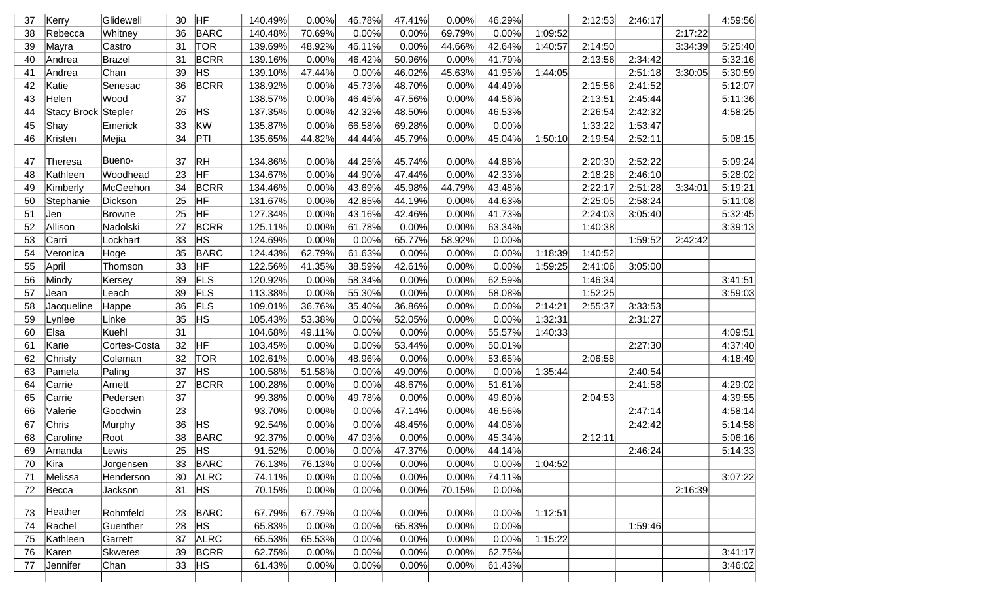| 37 | Kerry               | Glidewell     | 30 | <b>HF</b>      | 140.49% | 0.00%  | 46.78%          | 47.41% | 0.00%  | 46.29% |         | 2:12:53 | 2:46:17 |         | 4:59:56 |
|----|---------------------|---------------|----|----------------|---------|--------|-----------------|--------|--------|--------|---------|---------|---------|---------|---------|
| 38 | Rebecca             | Whitney       | 36 | <b>BARC</b>    | 140.48% | 70.69% | 0.00%           | 0.00%  | 69.79% | 0.00%  | 1:09:52 |         |         | 2:17:22 |         |
| 39 | Mayra               | Castro        | 31 | <b>TOR</b>     | 139.69% | 48.92% | 46.11%          | 0.00%  | 44.66% | 42.64% | 1:40:57 | 2:14:50 |         | 3:34:39 | 5:25:40 |
| 40 | Andrea              | <b>Brazel</b> | 31 | <b>BCRR</b>    | 139.16% | 0.00%  | 46.42%          | 50.96% | 0.00%  | 41.79% |         | 2:13:56 | 2:34:42 |         | 5:32:16 |
| 41 | Andrea              | Chan          | 39 | <b>HS</b>      | 139.10% | 47.44% | 0.00%           | 46.02% | 45.63% | 41.95% | 1:44:05 |         | 2:51:18 | 3:30:05 | 5:30:59 |
| 42 | Katie               | Senesac       | 36 | <b>BCRR</b>    | 138.92% | 0.00%  | 45.73%          | 48.70% | 0.00%  | 44.49% |         | 2:15:56 | 2:41:52 |         | 5:12:07 |
| 43 | Helen               | Wood          | 37 |                | 138.57% | 0.00%  | 46.45%          | 47.56% | 0.00%  | 44.56% |         | 2:13:51 | 2:45:44 |         | 5:11:36 |
| 44 | Stacy Brock Stepler |               | 26 | <b>HS</b>      | 137.35% | 0.00%  | 42.32%          | 48.50% | 0.00%  | 46.53% |         | 2:26:54 | 2:42:32 |         | 4:58:25 |
| 45 | Shay                | Emerick       | 33 | KW             | 135.87% | 0.00%  | 66.58%          | 69.28% | 0.00%  | 0.00%  |         | 1:33:22 | 1:53:47 |         |         |
| 46 | Kristen             | Mejia         | 34 | PT             | 135.65% | 44.82% | 44.44%          | 45.79% | 0.00%  | 45.04% | 1:50:10 | 2:19:54 | 2:52:11 |         | 5:08:15 |
|    |                     |               |    |                |         |        |                 |        |        |        |         |         |         |         |         |
| 47 | Theresa             | Bueno-        | 37 | $R$ H          | 134.86% | 0.00%  | 44.25%          | 45.74% | 0.00%  | 44.88% |         | 2:20:30 | 2:52:22 |         | 5:09:24 |
| 48 | Kathleen            | Woodhead      | 23 | HF             | 134.67% | 0.00%  | 44.90%          | 47.44% | 0.00%  | 42.33% |         | 2:18:28 | 2:46:10 |         | 5:28:02 |
| 49 | Kimberly            | McGeehon      | 34 | <b>BCRR</b>    | 134.46% | 0.00%  | 43.69%          | 45.98% | 44.79% | 43.48% |         | 2:22:17 | 2:51:28 | 3:34:01 | 5:19:21 |
| 50 | Stephanie           | Dickson       | 25 | HF             | 131.67% | 0.00%  | 42.85%          | 44.19% | 0.00%  | 44.63% |         | 2:25:05 | 2:58:24 |         | 5:11:08 |
| 51 | Jen                 | Browne        | 25 | HF             | 127.34% | 0.00%  | 43.16%          | 42.46% | 0.00%  | 41.73% |         | 2:24:03 | 3:05:40 |         | 5:32:45 |
| 52 | Allison             | Nadolski      | 27 | <b>BCRR</b>    | 125.11% | 0.00%  | 61.78%          | 0.00%  | 0.00%  | 63.34% |         | 1:40:38 |         |         | 3:39:13 |
| 53 | Carri               | Lockhart      | 33 | <b>HS</b>      | 124.69% | 0.00%  | 0.00%           | 65.77% | 58.92% | 0.00%  |         |         | 1:59:52 | 2:42:42 |         |
| 54 | Veronica            | Hoge          | 35 | <b>BARC</b>    | 124.43% | 62.79% | 61.63%          | 0.00%  | 0.00%  | 0.00%  | 1:18:39 | 1:40:52 |         |         |         |
| 55 | April               | Thomson       | 33 | HF             | 122.56% | 41.35% | 38.59%          | 42.61% | 0.00%  | 0.00%  | 1:59:25 | 2:41:06 | 3:05:00 |         |         |
| 56 | Mindy               | Kersey        | 39 | <b>FLS</b>     | 120.92% | 0.00%  | 58.34%          | 0.00%  | 0.00%  | 62.59% |         | 1:46:34 |         |         | 3:41:51 |
| 57 | Jean                | Leach         | 39 | FLS            | 113.38% | 0.00%  | 55.30%          | 0.00%  | 0.00%  | 58.08% |         | 1:52:25 |         |         | 3:59:03 |
| 58 | Jacqueline          | Happe         | 36 | <b>FLS</b>     | 109.01% | 36.76% | 35.40%          | 36.86% | 0.00%  | 0.00%  | 2:14:21 | 2:55:37 | 3:33:53 |         |         |
| 59 | Lynlee              | Linke         | 35 | HS             | 105.43% | 53.38% | 0.00%           | 52.05% | 0.00%  | 0.00%  | 1:32:31 |         | 2:31:27 |         |         |
| 60 | Elsa                | Kuehl         | 31 |                | 104.68% | 49.11% | 0.00%           | 0.00%  | 0.00%  | 55.57% | 1:40:33 |         |         |         | 4:09:51 |
| 61 | Karie               | Cortes-Costa  | 32 | <b>HF</b>      | 103.45% | 0.00%  | 0.00%           | 53.44% | 0.00%  | 50.01% |         |         | 2:27:30 |         | 4:37:40 |
| 62 | Christy             | Coleman       | 32 | <b>TOR</b>     | 102.61% | 0.00%  | 48.96%          | 0.00%  | 0.00%  | 53.65% |         | 2:06:58 |         |         | 4:18:49 |
| 63 | Pamela              | Paling        | 37 | <b>HS</b>      | 100.58% | 51.58% | 0.00%           | 49.00% | 0.00%  | 0.00%  | 1:35:44 |         | 2:40:54 |         |         |
| 64 | Carrie              | Arnett        | 27 | <b>BCRR</b>    | 100.28% | 0.00%  | 0.00%           | 48.67% | 0.00%  | 51.61% |         |         | 2:41:58 |         | 4:29:02 |
| 65 | Carrie              | Pedersen      | 37 |                | 99.38%  | 0.00%  | 49.78%          | 0.00%  | 0.00%  | 49.60% |         | 2:04:53 |         |         | 4:39:55 |
| 66 | Valerie             | Goodwin       | 23 |                | 93.70%  | 0.00%  | 0.00%           | 47.14% | 0.00%  | 46.56% |         |         | 2:47:14 |         | 4:58:14 |
| 67 | Chris               | Murphy        | 36 | <b>HS</b>      | 92.54%  | 0.00%  | 0.00%           | 48.45% | 0.00%  | 44.08% |         |         | 2:42:42 |         | 5:14:58 |
| 68 | Caroline            | Root          | 38 | BARC           | 92.37%  | 0.00%  | 47.03%          | 0.00%  | 0.00%  | 45.34% |         | 2:12:11 |         |         | 5:06:16 |
|    | 69 Amanda           | Lewis         |    | 25 $HS$        | 91.52%  | 0.00%  | $0.00\%$ 47.37% |        | 0.00%  | 44.14% |         |         | 2:46:24 |         | 5:14:33 |
| 70 | Kira                | Jorgensen     | 33 | BARC           | 76.13%  | 76.13% | 0.00%           | 0.00%  | 0.00%  | 0.00%  | 1:04:52 |         |         |         |         |
| 71 | Melissa             | Henderson     | 30 | <b>ALRC</b>    | 74.11%  | 0.00%  | 0.00%           | 0.00%  | 0.00%  | 74.11% |         |         |         |         | 3:07:22 |
| 72 | Becca               | Jackson       | 31 | H <sub>S</sub> | 70.15%  | 0.00%  | 0.00%           | 0.00%  | 70.15% | 0.00%  |         |         |         | 2:16:39 |         |
| 73 | Heather             | Rohmfeld      | 23 | BARC           | 67.79%  | 67.79% | 0.00%           | 0.00%  | 0.00%  | 0.00%  | 1:12:51 |         |         |         |         |
| 74 | Rachel              | Guenther      | 28 | H <sub>S</sub> | 65.83%  | 0.00%  | 0.00%           | 65.83% | 0.00%  | 0.00%  |         |         | 1:59:46 |         |         |
| 75 | Kathleen            | Garrett       | 37 | <b>ALRC</b>    | 65.53%  | 65.53% | 0.00%           | 0.00%  | 0.00%  | 0.00%  | 1:15:22 |         |         |         |         |
| 76 | Karen               | Skweres       | 39 | <b>BCRR</b>    | 62.75%  | 0.00%  | 0.00%           | 0.00%  | 0.00%  | 62.75% |         |         |         |         | 3:41:17 |
| 77 | Jennifer            | Chan          | 33 | <b>HS</b>      | 61.43%  | 0.00%  | 0.00%           | 0.00%  | 0.00%  | 61.43% |         |         |         |         | 3:46:02 |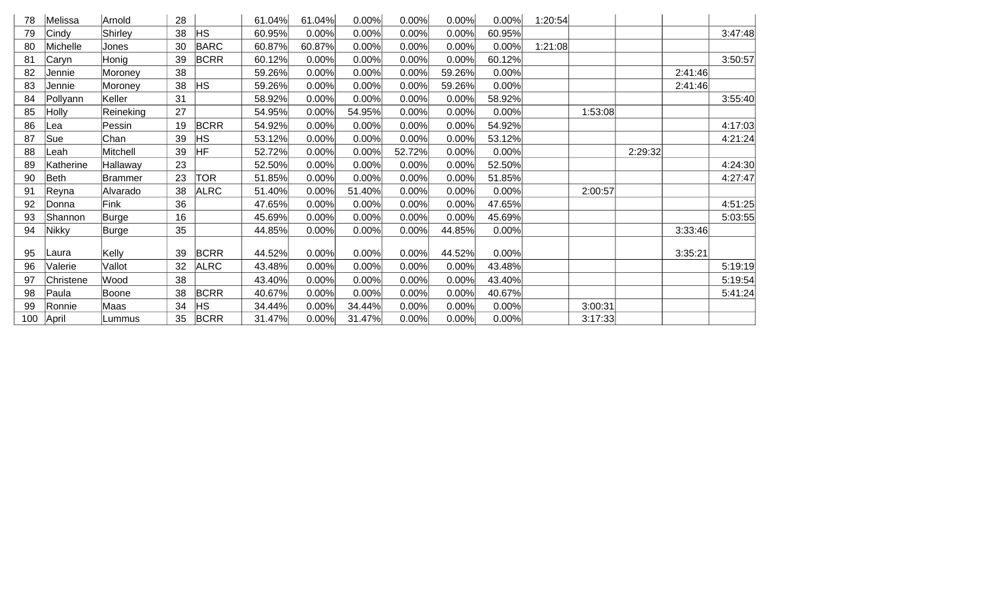| 78  | Melissa   | Arnold    | 28 |             | 61.04% | 61.04% | 0.00%  | 0.00%  | 0.00%  | 0.00%  | 1:20:54 |         |         |         |         |
|-----|-----------|-----------|----|-------------|--------|--------|--------|--------|--------|--------|---------|---------|---------|---------|---------|
| 79  | Cindy     | Shirley   | 38 | HS.         | 60.95% | 0.00%  | 0.00%  | 0.00%  | 0.00%  | 60.95% |         |         |         |         | 3:47:48 |
| 80  | Michelle  | Jones     | 30 | <b>BARC</b> | 60.87% | 60.87% | 0.00%  | 0.00%  | 0.00%  | 0.00%  | 1:21:08 |         |         |         |         |
| 81  | Caryn     | Honig     | 39 | <b>BCRR</b> | 60.12% | 0.00%  | 0.00%  | 0.00%  | 0.00%  | 60.12% |         |         |         |         | 3:50:57 |
| 82  | Jennie    | Moroney   | 38 |             | 59.26% | 0.00%  | 0.00%  | 0.00%  | 59.26% | 0.00%  |         |         |         | 2:41:46 |         |
| 83  | Jennie    | Moroney   | 38 | HS.         | 59.26% | 0.00%  | 0.00%  | 0.00%  | 59.26% | 0.00%  |         |         |         | 2:41:46 |         |
| 84  | Pollyann  | Keller    | 31 |             | 58.92% | 0.00%  | 0.00%  | 0.00%  | 0.00%  | 58.92% |         |         |         |         | 3:55:40 |
| 85  | Holly     | Reineking | 27 |             | 54.95% | 0.00%  | 54.95% | 0.00%  | 0.00%  | 0.00%  |         | 1:53:08 |         |         |         |
| 86  | Lea       | Pessin    | 19 | <b>BCRR</b> | 54.92% | 0.00%  | 0.00%  | 0.00%  | 0.00%  | 54.92% |         |         |         |         | 4:17:03 |
| 87  | Sue       | Chan      | 39 | <b>HS</b>   | 53.12% | 0.00%  | 0.00%  | 0.00%  | 0.00%  | 53.12% |         |         |         |         | 4:21:24 |
| 88  | Leah      | Mitchell  | 39 | HF          | 52.72% | 0.00%  | 0.00%  | 52.72% | 0.00%  | 0.00%  |         |         | 2:29:32 |         |         |
| 89  | Katherine | Hallaway  | 23 |             | 52.50% | 0.00%  | 0.00%  | 0.00%  | 0.00%  | 52.50% |         |         |         |         | 4:24:30 |
| 90  | Beth      | Brammer   | 23 | <b>TOR</b>  | 51.85% | 0.00%  | 0.00%  | 0.00%  | 0.00%  | 51.85% |         |         |         |         | 4:27:47 |
| 91  | Reyna     | Alvarado  | 38 | <b>ALRC</b> | 51.40% | 0.00%  | 51.40% | 0.00%  | 0.00%  | 0.00%  |         | 2:00:57 |         |         |         |
| 92  | Donna     | Fink      | 36 |             | 47.65% | 0.00%  | 0.00%  | 0.00%  | 0.00%  | 47.65% |         |         |         |         | 4:51:25 |
| 93  | Shannon   | Burge     | 16 |             | 45.69% | 0.00%  | 0.00%  | 0.00%  | 0.00%  | 45.69% |         |         |         |         | 5:03:55 |
| 94  | Nikky     | Burge     | 35 |             | 44.85% | 0.00%  | 0.00%  | 0.00%  | 44.85% | 0.00%  |         |         |         | 3:33:46 |         |
|     |           |           |    |             |        |        |        |        |        |        |         |         |         |         |         |
| 95  | Laura     | Kelly     | 39 | <b>BCRR</b> | 44.52% | 0.00%  | 0.00%  | 0.00%  | 44.52% | 0.00%  |         |         |         | 3:35:21 |         |
| 96  | Valerie   | Vallot    | 32 | <b>ALRC</b> | 43.48% | 0.00%  | 0.00%  | 0.00%  | 0.00%  | 43.48% |         |         |         |         | 5:19:19 |
| 97  | Christene | Wood      | 38 |             | 43.40% | 0.00%  | 0.00%  | 0.00%  | 0.00%  | 43.40% |         |         |         |         | 5:19:54 |
| 98  | Paula     | Boone     | 38 | <b>BCRR</b> | 40.67% | 0.00%  | 0.00%  | 0.00%  | 0.00%  | 40.67% |         |         |         |         | 5:41:24 |
| 99  | Ronnie    | Maas      | 34 | <b>HS</b>   | 34.44% | 0.00%  | 34.44% | 0.00%  | 0.00%  | 0.00%  |         | 3:00:31 |         |         |         |
| 100 | April     | Lummus    | 35 | <b>BCRR</b> | 31.47% | 0.00%  | 31.47% | 0.00%  | 0.00%  | 0.00%  |         | 3:17:33 |         |         |         |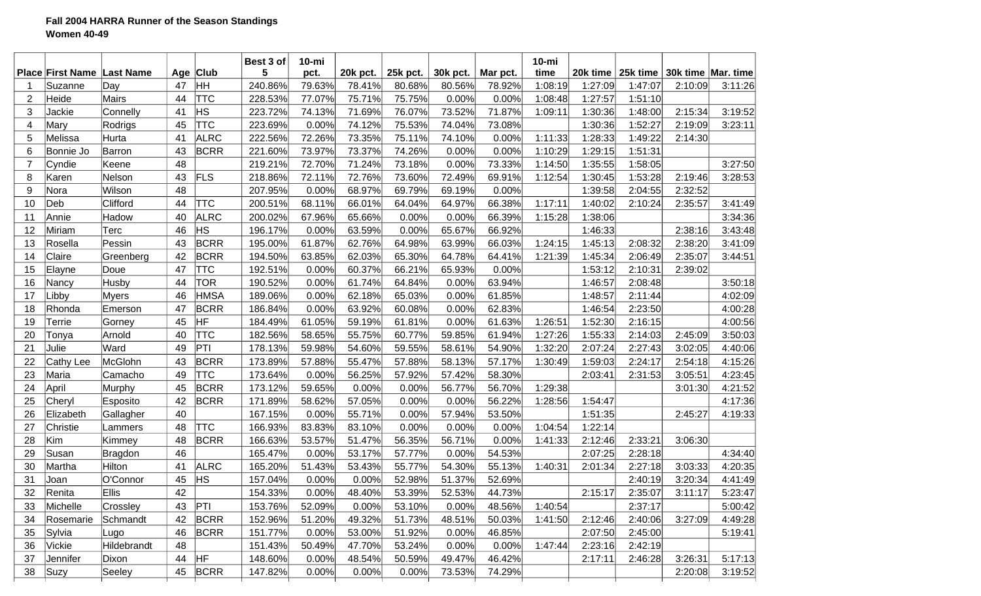## **Fall 2004 HARRA Runner of the Season Standings Women 40-49**

|                |                         |              |     |             | Best 3 of | $10 - mi$ |          |          |          |          | $10 - mi$ |          |          |                    |         |
|----------------|-------------------------|--------------|-----|-------------|-----------|-----------|----------|----------|----------|----------|-----------|----------|----------|--------------------|---------|
|                | <b>Place First Name</b> | Last Name    | Age | $ $ Club    | 5         | pct.      | 20k pct. | 25k pct. | 30k pct. | Mar pct. | time      | 20k time | 25k time | 30k time Mar. time |         |
|                | Suzanne                 | Day          | 47  | ¦нн         | 240.86%   | 79.63%    | 78.41%   | 80.68%   | 80.56%   | 78.92%   | 1:08:19   | 1:27:09  | 1:47:07  | 2:10:09            | 3:11:26 |
| $\overline{2}$ | Heide                   | Mairs        | 44  | <b>TTC</b>  | 228.53%   | 77.07%    | 75.71%   | 75.75%   | 0.00%    | 0.00%    | 1:08:48   | 1:27:57  | 1:51:10  |                    |         |
| 3              | Jackie                  | Connelly     | 41  | <b>HS</b>   | 223.72%   | 74.13%    | 71.69%   | 76.07%   | 73.52%   | 71.87%   | 1:09:11   | 1:30:36  | 1:48:00  | 2:15:34            | 3:19:52 |
| 4              | Mary                    | Rodrigs      | 45  | <b>TTC</b>  | 223.69%   | 0.00%     | 74.12%   | 75.53%   | 74.04%   | 73.08%   |           | 1:30:36  | 1:52:27  | 2:19:09            | 3:23:11 |
| 5              | Melissa                 | Hurta        | 41  | <b>ALRC</b> | 222.56%   | 72.26%    | 73.35%   | 75.11%   | 74.10%   | 0.00%    | 1:11:33   | 1:28:33  | 1:49:22  | 2:14:30            |         |
| 6              | Bonnie Jo               | Barron       | 43  | <b>BCRR</b> | 221.60%   | 73.97%    | 73.37%   | 74.26%   | 0.00%    | 0.00%    | 1:10:29   | 1:29:15  | 1:51:31  |                    |         |
| $\overline{7}$ | Cyndie                  | Keene        | 48  |             | 219.21%   | 72.70%    | 71.24%   | 73.18%   | 0.00%    | 73.33%   | 1:14:50   | 1:35:55  | 1:58:05  |                    | 3:27:50 |
| 8              | Karen                   | Nelson       | 43  | FLS         | 218.86%   | 72.11%    | 72.76%   | 73.60%   | 72.49%   | 69.91%   | 1:12:54   | 1:30:45  | 1:53:28  | 2:19:46            | 3:28:53 |
| 9              | Nora                    | Wilson       | 48  |             | 207.95%   | 0.00%     | 68.97%   | 69.79%   | 69.19%   | 0.00%    |           | 1:39:58  | 2:04:55  | 2:32:52            |         |
| 10             | Deb                     | Clifford     | 44  | <b>TTC</b>  | 200.51%   | 68.11%    | 66.01%   | 64.04%   | 64.97%   | 66.38%   | 1:17:11   | 1:40:02  | 2:10:24  | 2:35:57            | 3:41:49 |
| 11             | Annie                   | Hadow        | 40  | <b>ALRC</b> | 200.02%   | 67.96%    | 65.66%   | 0.00%    | 0.00%    | 66.39%   | 1:15:28   | 1:38:06  |          |                    | 3:34:36 |
| 12             | Miriam                  | Terc         | 46  | <b>HS</b>   | 196.17%   | 0.00%     | 63.59%   | 0.00%    | 65.67%   | 66.92%   |           | 1:46:33  |          | 2:38:16            | 3:43:48 |
| 13             | Rosella                 | Pessin       | 43  | <b>BCRR</b> | 195.00%   | 61.87%    | 62.76%   | 64.98%   | 63.99%   | 66.03%   | 1:24:15   | 1:45:13  | 2:08:32  | 2:38:20            | 3:41:09 |
| 14             | Claire                  | Greenberg    | 42  | <b>BCRR</b> | 194.50%   | 63.85%    | 62.03%   | 65.30%   | 64.78%   | 64.41%   | 1:21:39   | 1:45:34  | 2:06:49  | 2:35:07            | 3:44:51 |
| 15             | Elayne                  | Doue         | 47  | <b>TTC</b>  | 192.51%   | 0.00%     | 60.37%   | 66.21%   | 65.93%   | 0.00%    |           | 1:53:12  | 2:10:31  | 2:39:02            |         |
| 16             | Nancy                   | Husby        | 44  | <b>TOR</b>  | 190.52%   | 0.00%     | 61.74%   | 64.84%   | 0.00%    | 63.94%   |           | 1:46:57  | 2:08:48  |                    | 3:50:18 |
| 17             | Libby                   | <b>Myers</b> | 46  | <b>HMSA</b> | 189.06%   | 0.00%     | 62.18%   | 65.03%   | 0.00%    | 61.85%   |           | 1:48:57  | 2:11:44  |                    | 4:02:09 |
| 18             | Rhonda                  | Emerson      | 47  | <b>BCRR</b> | 186.84%   | 0.00%     | 63.92%   | 60.08%   | 0.00%    | 62.83%   |           | 1:46:54  | 2:23:50  |                    | 4:00:28 |
| 19             | Terrie                  | Gorney       | 45  | <b>HF</b>   | 184.49%   | 61.05%    | 59.19%   | 61.81%   | 0.00%    | 61.63%   | 1:26:51   | 1:52:30  | 2:16:15  |                    | 4:00:56 |
| 20             | Tonya                   | Arnold       | 40  | <b>TTC</b>  | 182.56%   | 58.65%    | 55.75%   | 60.77%   | 59.85%   | 61.94%   | 1:27:26   | 1:55:33  | 2:14:03  | 2:45:09            | 3:50:03 |
| 21             | Julie                   | Ward         | 49  | PTI         | 178.13%   | 59.98%    | 54.60%   | 59.55%   | 58.61%   | 54.90%   | 1:32:20   | 2:07:24  | 2:27:43  | 3:02:05            | 4:40:06 |
| 22             | Cathy Lee               | McGlohn      | 43  | <b>BCRR</b> | 173.89%   | 57.88%    | 55.47%   | 57.88%   | 58.13%   | 57.17%   | 1:30:49   | 1:59:03  | 2:24:17  | 2:54:18            | 4:15:26 |
| 23             | Maria                   | Camacho      | 49  | <b>TTC</b>  | 173.64%   | 0.00%     | 56.25%   | 57.92%   | 57.42%   | 58.30%   |           | 2:03:41  | 2:31:53  | 3:05:51            | 4:23:45 |
| 24             | April                   | Murphy       | 45  | <b>BCRR</b> | 173.12%   | 59.65%    | 0.00%    | 0.00%    | 56.77%   | 56.70%   | 1:29:38   |          |          | 3:01:30            | 4:21:52 |
| 25             | Cheryl                  | Esposito     | 42  | <b>BCRR</b> | 171.89%   | 58.62%    | 57.05%   | 0.00%    | 0.00%    | 56.22%   | 1:28:56   | 1:54:47  |          |                    | 4:17:36 |
| 26             | Elizabeth               | Gallagher    | 40  |             | 167.15%   | 0.00%     | 55.71%   | 0.00%    | 57.94%   | 53.50%   |           | 1:51:35  |          | 2:45:27            | 4:19:33 |
| 27             | Christie                | Lammers      | 48  | <b>TTC</b>  | 166.93%   | 83.83%    | 83.10%   | 0.00%    | 0.00%    | 0.00%    | 1:04:54   | 1:22:14  |          |                    |         |
| 28             | Kim                     | Kimmey       | 48  | <b>BCRR</b> | 166.63%   | 53.57%    | 51.47%   | 56.35%   | 56.71%   | 0.00%    | 1:41:33   | 2:12:46  | 2:33:21  | 3:06:30            |         |
| 29             | Susan                   | Bragdon      | 46  |             | 165.47%   | 0.00%     | 53.17%   | 57.77%   | 0.00%    | 54.53%   |           | 2:07:25  | 2:28:18  |                    | 4:34:40 |
| 30             | Martha                  | Hilton       | 41  | <b>ALRC</b> | 165.20%   | 51.43%    | 53.43%   | 55.77%   | 54.30%   | 55.13%   | 1:40:31   | 2:01:34  | 2:27:18  | 3:03:33            | 4:20:35 |
| 31             | Joan                    | O'Connor     | 45  | ΗS          | 157.04%   | 0.00%     | 0.00%    | 52.98%   | 51.37%   | 52.69%   |           |          | 2:40:19  | 3:20:34            | 4:41:49 |
| 32             | Renita                  | <b>Ellis</b> | 42  |             | 154.33%   | 0.00%     | 48.40%   | 53.39%   | 52.53%   | 44.73%   |           | 2:15:17  | 2:35:07  | 3:11:17            | 5:23:47 |
| 33             | Michelle                | Crossley     | 43  | PT          | 153.76%   | 52.09%    | 0.00%    | 53.10%   | 0.00%    | 48.56%   | 1:40:54   |          | 2:37:17  |                    | 5:00:42 |
| 34             | Rosemarie               | Schmandt     | 42  | <b>BCRR</b> | 152.96%   | 51.20%    | 49.32%   | 51.73%   | 48.51%   | 50.03%   | 1:41:50   | 2:12:46  | 2:40:06  | 3:27:09            | 4:49:28 |
| 35             | Sylvia                  | Lugo         | 46  | <b>BCRR</b> | 151.77%   | 0.00%     | 53.00%   | 51.92%   | 0.00%    | 46.85%   |           | 2:07:50  | 2:45:00  |                    | 5:19:41 |
| 36             | Vickie                  | Hildebrandt  | 48  |             | 151.43%   | 50.49%    | 47.70%   | 53.24%   | 0.00%    | 0.00%    | 1:47:44   | 2:23:16  | 2:42:19  |                    |         |
| 37             | Jennifer                | Dixon        | 44  | <b>HF</b>   | 148.60%   | 0.00%     | 48.54%   | 50.59%   | 49.47%   | 46.42%   |           | 2:17:11  | 2:46:28  | 3:26:31            | 5:17:13 |
| 38             | Suzy                    | Seeley       | 45  | <b>BCRR</b> | 147.82%   | 0.00%     | 0.00%    | 0.00%    | 73.53%   | 74.29%   |           |          |          | 2:20:08            | 3:19:52 |
|                |                         |              |     |             |           |           |          |          |          |          |           |          |          |                    |         |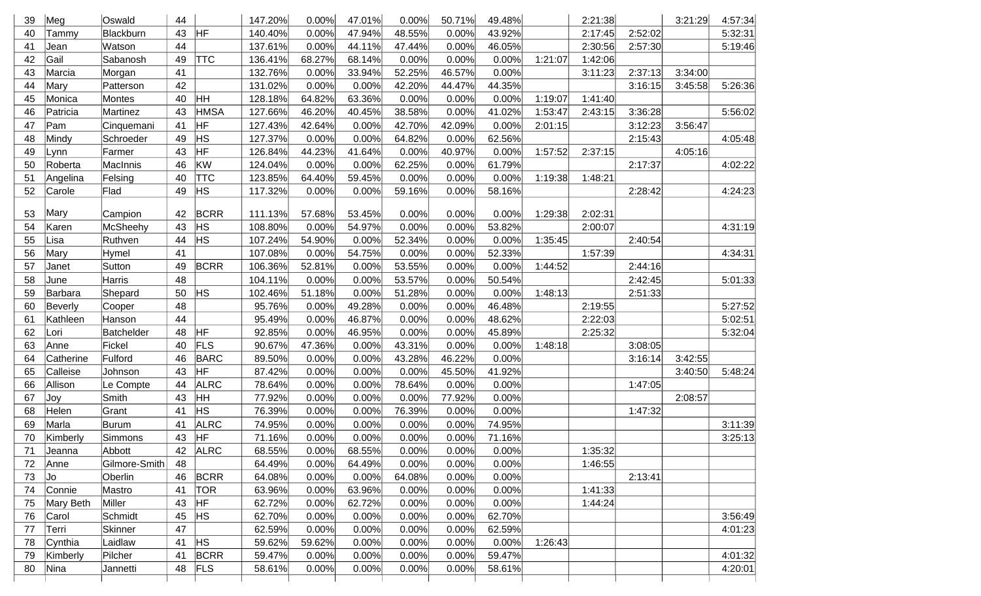| 39 | Meg       | Oswald        | 44 |             | 147.20% | 0.00%  | 47.01% | 0.00%  | 50.71% | 49.48% |         | 2:21:38 |         | 3:21:29 | 4:57:34 |
|----|-----------|---------------|----|-------------|---------|--------|--------|--------|--------|--------|---------|---------|---------|---------|---------|
| 40 | Tammy     | Blackburn     | 43 | HF          | 140.40% | 0.00%  | 47.94% | 48.55% | 0.00%  | 43.92% |         | 2:17:45 | 2:52:02 |         | 5:32:31 |
| 41 | Jean      | Watson        | 44 |             | 137.61% | 0.00%  | 44.11% | 47.44% | 0.00%  | 46.05% |         | 2:30:56 | 2:57:30 |         | 5:19:46 |
| 42 | Gail      | Sabanosh      | 49 | <b>TTC</b>  | 136.41% | 68.27% | 68.14% | 0.00%  | 0.00%  | 0.00%  | 1:21:07 | 1:42:06 |         |         |         |
| 43 | Marcia    | Morgan        | 41 |             | 132.76% | 0.00%  | 33.94% | 52.25% | 46.57% | 0.00%  |         | 3:11:23 | 2:37:13 | 3:34:00 |         |
| 44 | Mary      | Patterson     | 42 |             | 131.02% | 0.00%  | 0.00%  | 42.20% | 44.47% | 44.35% |         |         | 3:16:15 | 3:45:58 | 5:26:36 |
| 45 | Monica    | Montes        | 40 | HH          | 128.18% | 64.82% | 63.36% | 0.00%  | 0.00%  | 0.00%  | 1:19:07 | 1:41:40 |         |         |         |
| 46 | Patricia  | Martinez      | 43 | <b>HMSA</b> | 127.66% | 46.20% | 40.45% | 38.58% | 0.00%  | 41.02% | 1:53:47 | 2:43:15 | 3:36:28 |         | 5:56:02 |
| 47 | Pam       | Cinquemani    | 41 | HF          | 127.43% | 42.64% | 0.00%  | 42.70% | 42.09% | 0.00%  | 2:01:15 |         | 3:12:23 | 3:56:47 |         |
| 48 | Mindy     | Schroeder     | 49 | <b>HS</b>   | 127.37% | 0.00%  | 0.00%  | 64.82% | 0.00%  | 62.56% |         |         | 2:15:43 |         | 4:05:48 |
| 49 | Lynn      | Farmer        | 43 | <b>HF</b>   | 126.84% | 44.23% | 41.64% | 0.00%  | 40.97% | 0.00%  | 1:57:52 | 2:37:15 |         | 4:05:16 |         |
| 50 | Roberta   | MacInnis      | 46 | KW          | 124.04% | 0.00%  | 0.00%  | 62.25% | 0.00%  | 61.79% |         |         | 2:17:37 |         | 4:02:22 |
| 51 | Angelina  | Felsing       | 40 | <b>TTC</b>  | 123.85% | 64.40% | 59.45% | 0.00%  | 0.00%  | 0.00%  | 1:19:38 | 1:48:21 |         |         |         |
| 52 | Carole    | Flad          | 49 | <b>HS</b>   | 117.32% | 0.00%  | 0.00%  | 59.16% | 0.00%  | 58.16% |         |         | 2:28:42 |         | 4:24:23 |
|    |           |               |    |             |         |        |        |        |        |        |         |         |         |         |         |
| 53 | Mary      | Campion       | 42 | <b>BCRR</b> | 111.13% | 57.68% | 53.45% | 0.00%  | 0.00%  | 0.00%  | 1:29:38 | 2:02:31 |         |         |         |
| 54 | Karen     | McSheehy      | 43 | <b>HS</b>   | 108.80% | 0.00%  | 54.97% | 0.00%  | 0.00%  | 53.82% |         | 2:00:07 |         |         | 4:31:19 |
| 55 | Lisa      | Ruthven       | 44 | <b>HS</b>   | 107.24% | 54.90% | 0.00%  | 52.34% | 0.00%  | 0.00%  | 1:35:45 |         | 2:40:54 |         |         |
| 56 | Mary      | Hymel         | 41 |             | 107.08% | 0.00%  | 54.75% | 0.00%  | 0.00%  | 52.33% |         | 1:57:39 |         |         | 4:34:31 |
| 57 | Janet     | Sutton        | 49 | <b>BCRR</b> | 106.36% | 52.81% | 0.00%  | 53.55% | 0.00%  | 0.00%  | 1:44:52 |         | 2:44:16 |         |         |
| 58 | June      | Harris        | 48 |             | 104.11% | 0.00%  | 0.00%  | 53.57% | 0.00%  | 50.54% |         |         | 2:42:45 |         | 5:01:33 |
| 59 | Barbara   | Shepard       | 50 | HS          | 102.46% | 51.18% | 0.00%  | 51.28% | 0.00%  | 0.00%  | 1:48:13 |         | 2:51:33 |         |         |
| 60 | Beverly   | Cooper        | 48 |             | 95.76%  | 0.00%  | 49.28% | 0.00%  | 0.00%  | 46.48% |         | 2:19:55 |         |         | 5:27:52 |
| 61 | Kathleen  | Hanson        | 44 |             | 95.49%  | 0.00%  | 46.87% | 0.00%  | 0.00%  | 48.62% |         | 2:22:03 |         |         | 5:02:51 |
| 62 | Lori      | Batchelder    | 48 | <b>HF</b>   | 92.85%  | 0.00%  | 46.95% | 0.00%  | 0.00%  | 45.89% |         | 2:25:32 |         |         | 5:32:04 |
| 63 | Anne      | Fickel        | 40 | FLS         | 90.67%  | 47.36% | 0.00%  | 43.31% | 0.00%  | 0.00%  | 1:48:18 |         | 3:08:05 |         |         |
| 64 | Catherine | Fulford       | 46 | <b>BARC</b> | 89.50%  | 0.00%  | 0.00%  | 43.28% | 46.22% | 0.00%  |         |         | 3:16:14 | 3:42:55 |         |
| 65 | Calleise  | Johnson       | 43 | HF          | 87.42%  | 0.00%  | 0.00%  | 0.00%  | 45.50% | 41.92% |         |         |         | 3:40:50 | 5:48:24 |
| 66 | Allison   | Le Compte     | 44 | <b>ALRC</b> | 78.64%  | 0.00%  | 0.00%  | 78.64% | 0.00%  | 0.00%  |         |         | 1:47:05 |         |         |
| 67 | Joy       | Smith         | 43 | HΗ          | 77.92%  | 0.00%  | 0.00%  | 0.00%  | 77.92% | 0.00%  |         |         |         | 2:08:57 |         |
| 68 | Helen     | Grant         | 41 | <b>HS</b>   | 76.39%  | 0.00%  | 0.00%  | 76.39% | 0.00%  | 0.00%  |         |         | 1:47:32 |         |         |
| 69 | Marla     | Burum         | 41 | <b>ALRC</b> | 74.95%  | 0.00%  | 0.00%  | 0.00%  | 0.00%  | 74.95% |         |         |         |         | 3:11:39 |
| 70 | Kimberly  | Simmons       | 43 | HF          | 71.16%  | 0.00%  | 0.00%  | 0.00%  | 0.00%  | 71.16% |         |         |         |         | 3:25:13 |
| 71 | Jeanna    | Abbott        | 42 | ALRC        | 68.55%  | 0.00%  | 68.55% | 0.00%  | 0.00%  | 0.00%  |         | 1:35:32 |         |         |         |
| 72 | Anne      | Gilmore-Smith | 48 |             | 64.49%  | 0.00%  | 64.49% | 0.00%  | 0.00%  | 0.00%  |         | 1:46:55 |         |         |         |
| 73 | Jo        | Oberlin       | 46 | <b>BCRR</b> | 64.08%  | 0.00%  | 0.00%  | 64.08% | 0.00%  | 0.00%  |         |         | 2:13:41 |         |         |
| 74 | Connie    | Mastro        | 41 | <b>TOR</b>  | 63.96%  | 0.00%  | 63.96% | 0.00%  | 0.00%  | 0.00%  |         | 1:41:33 |         |         |         |
| 75 | Mary Beth | Miller        | 43 | <b>HF</b>   | 62.72%  | 0.00%  | 62.72% | 0.00%  | 0.00%  | 0.00%  |         | 1:44:24 |         |         |         |
| 76 | Carol     | Schmidt       | 45 | <b>HS</b>   | 62.70%  | 0.00%  | 0.00%  | 0.00%  | 0.00%  | 62.70% |         |         |         |         | 3:56:49 |
| 77 | Terri     | Skinner       | 47 |             | 62.59%  | 0.00%  | 0.00%  | 0.00%  | 0.00%  | 62.59% |         |         |         |         | 4:01:23 |
| 78 | Cynthia   | Laidlaw       | 41 | <b>HS</b>   | 59.62%  | 59.62% | 0.00%  | 0.00%  | 0.00%  | 0.00%  | 1:26:43 |         |         |         |         |
| 79 | Kimberly  | Pilcher       | 41 | <b>BCRR</b> | 59.47%  | 0.00%  | 0.00%  | 0.00%  | 0.00%  | 59.47% |         |         |         |         | 4:01:32 |
| 80 | Nina      | Jannetti      | 48 | FLS         | 58.61%  | 0.00%  | 0.00%  | 0.00%  | 0.00%  | 58.61% |         |         |         |         | 4:20:01 |
|    |           |               |    |             |         |        |        |        |        |        |         |         |         |         |         |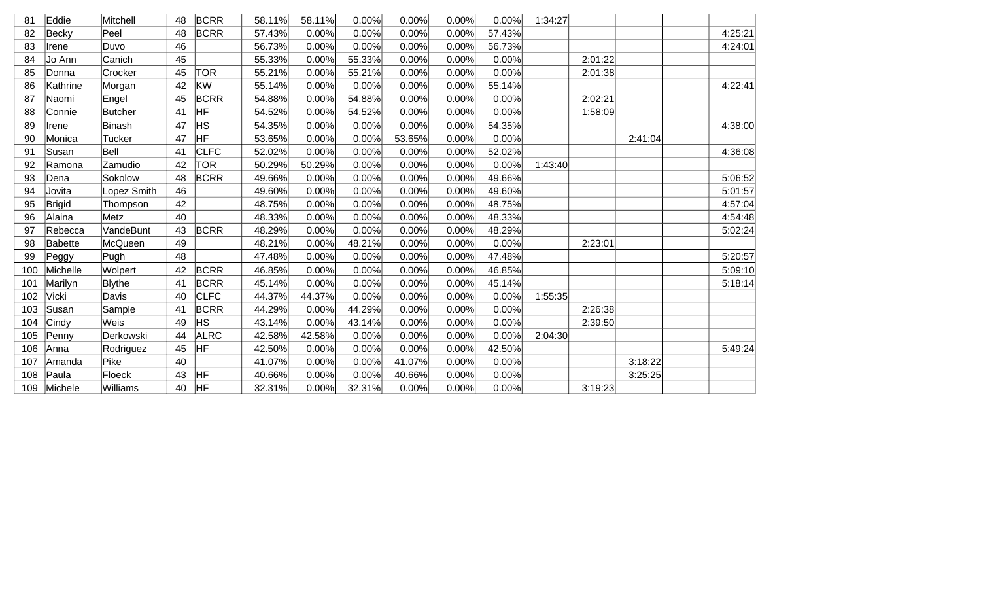| 81  | Eddie    | Mitchell       | 48 | <b>BCRR</b> | 58.11% | 58.11% | 0.00%  | 0.00%  | 0.00% | 0.00%  | 1:34:27 |         |         |         |
|-----|----------|----------------|----|-------------|--------|--------|--------|--------|-------|--------|---------|---------|---------|---------|
| 82  | Becky    | Peel           | 48 | <b>BCRR</b> | 57.43% | 0.00%  | 0.00%  | 0.00%  | 0.00% | 57.43% |         |         |         | 4:25:21 |
| 83  | Irene    | Duvo           | 46 |             | 56.73% | 0.00%  | 0.00%  | 0.00%  | 0.00% | 56.73% |         |         |         | 4:24:01 |
| 84  | Jo Ann   | Canich         | 45 |             | 55.33% | 0.00%  | 55.33% | 0.00%  | 0.00% | 0.00%  |         | 2:01:22 |         |         |
| 85  | Donna    | Crocker        | 45 | <b>TOR</b>  | 55.21% | 0.00%  | 55.21% | 0.00%  | 0.00% | 0.00%  |         | 2:01:38 |         |         |
| 86  | Kathrine | Morgan         | 42 | <b>KW</b>   | 55.14% | 0.00%  | 0.00%  | 0.00%  | 0.00% | 55.14% |         |         |         | 4:22:41 |
| 87  | Naomi    | Engel          | 45 | <b>BCRR</b> | 54.88% | 0.00%  | 54.88% | 0.00%  | 0.00% | 0.00%  |         | 2:02:21 |         |         |
| 88  | Connie   | <b>Butcher</b> | 41 | HF          | 54.52% | 0.00%  | 54.52% | 0.00%  | 0.00% | 0.00%  |         | 1:58:09 |         |         |
| 89  | Irene    | Binash         | 47 | <b>HS</b>   | 54.35% | 0.00%  | 0.00%  | 0.00%  | 0.00% | 54.35% |         |         |         | 4:38:00 |
| 90  | Monica   | <b>Tucker</b>  | 47 | <b>HF</b>   | 53.65% | 0.00%  | 0.00%  | 53.65% | 0.00% | 0.00%  |         |         | 2:41:04 |         |
| 91  | Susan    | Bell           | 41 | <b>CLFC</b> | 52.02% | 0.00%  | 0.00%  | 0.00%  | 0.00% | 52.02% |         |         |         | 4:36:08 |
| 92  | Ramona   | Zamudio        | 42 | <b>TOR</b>  | 50.29% | 50.29% | 0.00%  | 0.00%  | 0.00% | 0.00%  | 1:43:40 |         |         |         |
| 93  | Dena     | Sokolow        | 48 | <b>BCRR</b> | 49.66% | 0.00%  | 0.00%  | 0.00%  | 0.00% | 49.66% |         |         |         | 5:06:52 |
| 94  | Jovita   | Lopez Smith    | 46 |             | 49.60% | 0.00%  | 0.00%  | 0.00%  | 0.00% | 49.60% |         |         |         | 5:01:57 |
| 95  | Brigid   | Thompson       | 42 |             | 48.75% | 0.00%  | 0.00%  | 0.00%  | 0.00% | 48.75% |         |         |         | 4:57:04 |
| 96  | Alaina   | Metz           | 40 |             | 48.33% | 0.00%  | 0.00%  | 0.00%  | 0.00% | 48.33% |         |         |         | 4:54:48 |
| 97  | Rebecca  | VandeBunt      | 43 | <b>BCRR</b> | 48.29% | 0.00%  | 0.00%  | 0.00%  | 0.00% | 48.29% |         |         |         | 5:02:24 |
| 98  | Babette  | McQueen        | 49 |             | 48.21% | 0.00%  | 48.21% | 0.00%  | 0.00% | 0.00%  |         | 2:23:01 |         |         |
| 99  | Peggy    | Pugh           | 48 |             | 47.48% | 0.00%  | 0.00%  | 0.00%  | 0.00% | 47.48% |         |         |         | 5:20:57 |
| 100 | Michelle | Wolpert        | 42 | <b>BCRR</b> | 46.85% | 0.00%  | 0.00%  | 0.00%  | 0.00% | 46.85% |         |         |         | 5:09:10 |
| 101 | Marilyn  | <b>Blythe</b>  | 41 | <b>BCRR</b> | 45.14% | 0.00%  | 0.00%  | 0.00%  | 0.00% | 45.14% |         |         |         | 5:18:14 |
| 102 | Vicki    | Davis          | 40 | <b>CLFC</b> | 44.37% | 44.37% | 0.00%  | 0.00%  | 0.00% | 0.00%  | 1:55:35 |         |         |         |
| 103 | Susan    | Sample         | 41 | <b>BCRR</b> | 44.29% | 0.00%  | 44.29% | 0.00%  | 0.00% | 0.00%  |         | 2:26:38 |         |         |
| 104 | Cindy    | Weis           | 49 | <b>HS</b>   | 43.14% | 0.00%  | 43.14% | 0.00%  | 0.00% | 0.00%  |         | 2:39:50 |         |         |
| 105 | Penny    | Derkowski      | 44 | <b>ALRC</b> | 42.58% | 42.58% | 0.00%  | 0.00%  | 0.00% | 0.00%  | 2:04:30 |         |         |         |
| 106 | Anna     | Rodriguez      | 45 | <b>HF</b>   | 42.50% | 0.00%  | 0.00%  | 0.00%  | 0.00% | 42.50% |         |         |         | 5:49:24 |
| 107 | Amanda   | Pike           | 40 |             | 41.07% | 0.00%  | 0.00%  | 41.07% | 0.00% | 0.00%  |         |         | 3:18:22 |         |
| 108 | Paula    | Floeck         | 43 | HF          | 40.66% | 0.00%  | 0.00%  | 40.66% | 0.00% | 0.00%  |         |         | 3:25:25 |         |
| 109 | Michele  | Williams       | 40 | HF          | 32.31% | 0.00%  | 32.31% | 0.00%  | 0.00% | 0.00%  |         | 3:19:23 |         |         |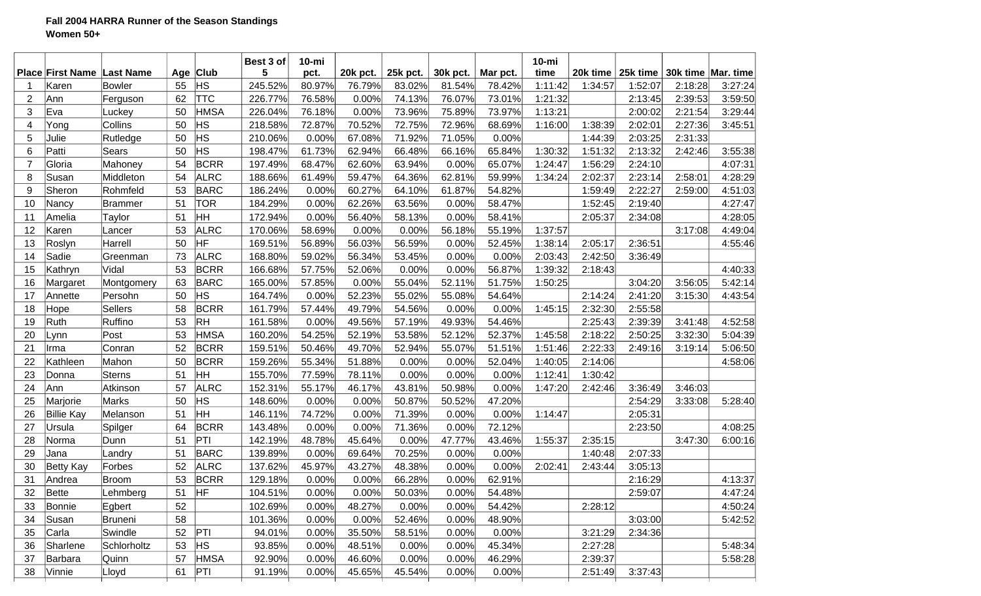## **Fall 2004 HARRA Runner of the Season Standings Women 50+**

|                |                         |                  |    |             | Best 3 of | $10 - mi$ |          |          |          |          | $10$ -mi |          |          |         |                      |
|----------------|-------------------------|------------------|----|-------------|-----------|-----------|----------|----------|----------|----------|----------|----------|----------|---------|----------------------|
|                | <b>Place First Name</b> | <b>Last Name</b> |    | Age Club    | 5         | pct.      | 20k pct. | 25k pct. | 30k pct. | Mar pct. | time     | 20k time | 25k time |         | 30k time   Mar. time |
|                | Karen                   | <b>Bowler</b>    | 55 | <b>HS</b>   | 245.52%   | 80.97%    | 76.79%   | 83.02%   | 81.54%   | 78.42%   | 1:11:42  | 1:34:57  | 1:52:07  | 2:18:28 | 3:27:24              |
| $\overline{2}$ | Ann                     | Ferguson         | 62 | <b>TTC</b>  | 226.77%   | 76.58%    | 0.00%    | 74.13%   | 76.07%   | 73.01%   | 1:21:32  |          | 2:13:45  | 2:39:53 | 3:59:50              |
| 3              | Eva                     | Luckey           | 50 | <b>HMSA</b> | 226.04%   | 76.18%    | 0.00%    | 73.96%   | 75.89%   | 73.97%   | 1:13:21  |          | 2:00:02  | 2:21:54 | 3:29:44              |
| 4              | Yong                    | Collins          | 50 | HS          | 218.58%   | 72.87%    | 70.52%   | 72.75%   | 72.96%   | 68.69%   | 1:16:00  | 1:38:39  | 2:02:01  | 2:27:36 | 3:45:51              |
| 5              | Julie                   | Rutledge         | 50 | HS          | 210.06%   | 0.00%     | 67.08%   | 71.92%   | 71.05%   | 0.00%    |          | 1:44:39  | 2:03:25  | 2:31:33 |                      |
| 6              | Patti                   | Sears            | 50 | HS          | 198.47%   | 61.73%    | 62.94%   | 66.48%   | 66.16%   | 65.84%   | 1:30:32  | 1:51:32  | 2:13:32  | 2:42:46 | 3:55:38              |
| $\overline{7}$ | Gloria                  | Mahoney          | 54 | <b>BCRR</b> | 197.49%   | 68.47%    | 62.60%   | 63.94%   | 0.00%    | 65.07%   | 1:24:47  | 1:56:29  | 2:24:10  |         | 4:07:31              |
| 8              | Susan                   | Middleton        | 54 | <b>ALRC</b> | 188.66%   | 61.49%    | 59.47%   | 64.36%   | 62.81%   | 59.99%   | 1:34:24  | 2:02:37  | 2:23:14  | 2:58:01 | 4:28:29              |
| 9              | Sheron                  | Rohmfeld         | 53 | <b>BARC</b> | 186.24%   | 0.00%     | 60.27%   | 64.10%   | 61.87%   | 54.82%   |          | 1:59:49  | 2:22:27  | 2:59:00 | 4:51:03              |
| 10             | Nancy                   | <b>Brammer</b>   | 51 | <b>TOR</b>  | 184.29%   | 0.00%     | 62.26%   | 63.56%   | 0.00%    | 58.47%   |          | 1:52:45  | 2:19:40  |         | 4:27:47              |
| 11             | Amelia                  | Taylor           | 51 | HH          | 172.94%   | 0.00%     | 56.40%   | 58.13%   | 0.00%    | 58.41%   |          | 2:05:37  | 2:34:08  |         | 4:28:05              |
| 12             | Karen                   | Lancer           | 53 | <b>ALRC</b> | 170.06%   | 58.69%    | 0.00%    | 0.00%    | 56.18%   | 55.19%   | 1:37:57  |          |          | 3:17:08 | 4:49:04              |
| 13             | Roslyn                  | Harrell          | 50 | HF          | 169.51%   | 56.89%    | 56.03%   | 56.59%   | 0.00%    | 52.45%   | 1:38:14  | 2:05:17  | 2:36:51  |         | 4:55:46              |
| 14             | Sadie                   | Greenman         | 73 | <b>ALRC</b> | 168.80%   | 59.02%    | 56.34%   | 53.45%   | 0.00%    | 0.00%    | 2:03:43  | 2:42:50  | 3:36:49  |         |                      |
| 15             | Kathryn                 | Vidal            | 53 | <b>BCRR</b> | 166.68%   | 57.75%    | 52.06%   | 0.00%    | 0.00%    | 56.87%   | 1:39:32  | 2:18:43  |          |         | 4:40:33              |
| 16             | Margaret                | Montgomery       | 63 | <b>BARC</b> | 165.00%   | 57.85%    | 0.00%    | 55.04%   | 52.11%   | 51.75%   | 1:50:25  |          | 3:04:20  | 3:56:05 | 5:42:14              |
| 17             | Annette                 | Persohn          | 50 | <b>HS</b>   | 164.74%   | 0.00%     | 52.23%   | 55.02%   | 55.08%   | 54.64%   |          | 2:14:24  | 2:41:20  | 3:15:30 | 4:43:54              |
| 18             | Hope                    | Sellers          | 58 | <b>BCRR</b> | 161.79%   | 57.44%    | 49.79%   | 54.56%   | 0.00%    | 0.00%    | 1:45:15  | 2:32:30  | 2:55:58  |         |                      |
| 19             | Ruth                    | Ruffino          | 53 | <b>RH</b>   | 161.58%   | 0.00%     | 49.56%   | 57.19%   | 49.93%   | 54.46%   |          | 2:25:43  | 2:39:39  | 3:41:48 | 4:52:58              |
| 20             | Lynn                    | Post             | 53 | <b>HMSA</b> | 160.20%   | 54.25%    | 52.19%   | 53.58%   | 52.12%   | 52.37%   | 1:45:58  | 2:18:22  | 2:50:25  | 3:32:30 | 5:04:39              |
| 21             | Irma                    | Conran           | 52 | <b>BCRR</b> | 159.51%   | 50.46%    | 49.70%   | 52.94%   | 55.07%   | 51.51%   | 1:51:46  | 2:22:33  | 2:49:16  | 3:19:14 | 5:06:50              |
| 22             | Kathleen                | Mahon            | 50 | <b>BCRR</b> | 159.26%   | 55.34%    | 51.88%   | 0.00%    | 0.00%    | 52.04%   | 1:40:05  | 2:14:06  |          |         | 4:58:06              |
| 23             | Donna                   | Sterns           | 51 | ŀнн         | 155.70%   | 77.59%    | 78.11%   | 0.00%    | 0.00%    | 0.00%    | 1:12:41  | 1:30:42  |          |         |                      |
| 24             | Ann                     | Atkinson         | 57 | <b>ALRC</b> | 152.31%   | 55.17%    | 46.17%   | 43.81%   | 50.98%   | 0.00%    | 1:47:20  | 2:42:46  | 3:36:49  | 3:46:03 |                      |
| 25             | Marjorie                | <b>Marks</b>     | 50 | HS          | 148.60%   | 0.00%     | 0.00%    | 50.87%   | 50.52%   | 47.20%   |          |          | 2:54:29  | 3:33:08 | 5:28:40              |
| 26             | <b>Billie Kay</b>       | Melanson         | 51 | HH          | 146.11%   | 74.72%    | 0.00%    | 71.39%   | 0.00%    | 0.00%    | 1:14:47  |          | 2:05:31  |         |                      |
| 27             | Ursula                  | Spilger          | 64 | <b>BCRR</b> | 143.48%   | 0.00%     | 0.00%    | 71.36%   | 0.00%    | 72.12%   |          |          | 2:23:50  |         | 4:08:25              |
| 28             | Norma                   | Dunn             | 51 | PTI         | 142.19%   | 48.78%    | 45.64%   | 0.00%    | 47.77%   | 43.46%   | 1:55:37  | 2:35:15  |          | 3:47:30 | 6:00:16              |
| 29             | Jana                    | Landry           | 51 | <b>BARC</b> | 139.89%   | 0.00%     | 69.64%   | 70.25%   | 0.00%    | 0.00%    |          | 1:40:48  | 2:07:33  |         |                      |
| 30             | <b>Betty Kay</b>        | Forbes           | 52 | <b>ALRC</b> | 137.62%   | 45.97%    | 43.27%   | 48.38%   | 0.00%    | 0.00%    | 2:02:41  | 2:43:44  | 3:05:13  |         |                      |
| 31             | Andrea                  | Broom            | 53 | <b>BCRR</b> | 129.18%   | 0.00%     | 0.00%    | 66.28%   | 0.00%    | 62.91%   |          |          | 2:16:29  |         | 4:13:37              |
| 32             | Bette                   | Lehmberg         | 51 | <b>HF</b>   | 104.51%   | 0.00%     | 0.00%    | 50.03%   | 0.00%    | 54.48%   |          |          | 2:59:07  |         | 4:47:24              |
| 33             | Bonnie                  | Egbert           | 52 |             | 102.69%   | 0.00%     | 48.27%   | 0.00%    | 0.00%    | 54.42%   |          | 2:28:12  |          |         | 4:50:24              |
| 34             | Susan                   | <b>Bruneni</b>   | 58 |             | 101.36%   | 0.00%     | 0.00%    | 52.46%   | 0.00%    | 48.90%   |          |          | 3:03:00  |         |                      |
| 35             | Carla                   |                  | 52 | PTI         |           |           | 35.50%   |          |          | 0.00%    |          |          | 2:34:36  |         | 5:42:52              |
|                |                         | Swindle          |    |             | 94.01%    | 0.00%     |          | 58.51%   | 0.00%    |          |          | 3:21:29  |          |         |                      |
| 36             | Sharlene                | Schlorholtz      | 53 | <b>HS</b>   | 93.85%    | 0.00%     | 48.51%   | 0.00%    | 0.00%    | 45.34%   |          | 2:27:28  |          |         | 5:48:34              |
| 37             | Barbara                 | Quinn            | 57 | <b>HMSA</b> | 92.90%    | 0.00%     | 46.60%   | 0.00%    | 0.00%    | 46.29%   |          | 2:39:37  |          |         | 5:58:28              |
| 38             | Vinnie                  | Lloyd            | 61 | PTI         | 91.19%    | 0.00%     | 45.65%   | 45.54%   | 0.00%    | 0.00%    |          | 2:51:49  | 3:37:43  |         |                      |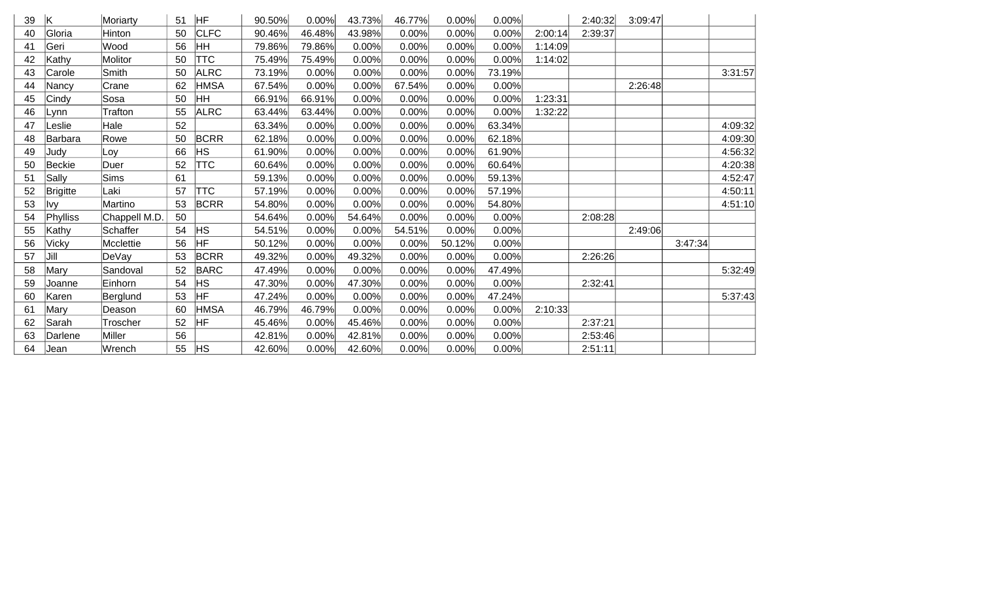| 39 | ΙK              | Moriarty        | 51 | HF          | 90.50% | 0.00%  | 43.73% | 46.77% | 0.00%  | 0.00%  |         | 2:40:32 | 3:09:47 |         |         |
|----|-----------------|-----------------|----|-------------|--------|--------|--------|--------|--------|--------|---------|---------|---------|---------|---------|
| 40 | Gloria          | Hinton          | 50 | <b>CLFC</b> | 90.46% | 46.48% | 43.98% | 0.00%  | 0.00%  | 0.00%  | 2:00:14 | 2:39:37 |         |         |         |
| 41 | Geri            | Wood            | 56 | HH          | 79.86% | 79.86% | 0.00%  | 0.00%  | 0.00%  | 0.00%  | 1:14:09 |         |         |         |         |
| 42 | Kathy           | Molitor         | 50 | <b>TTC</b>  | 75.49% | 75.49% | 0.00%  | 0.00%  | 0.00%  | 0.00%  | 1:14:02 |         |         |         |         |
| 43 | Carole          | Smith           | 50 | <b>ALRC</b> | 73.19% | 0.00%  | 0.00%  | 0.00%  | 0.00%  | 73.19% |         |         |         |         | 3:31:57 |
| 44 | Nancy           | Crane           | 62 | <b>HMSA</b> | 67.54% | 0.00%  | 0.00%  | 67.54% | 0.00%  | 0.00%  |         |         | 2:26:48 |         |         |
| 45 | Cindy           | Sosa            | 50 | HH          | 66.91% | 66.91% | 0.00%  | 0.00%  | 0.00%  | 0.00%  | 1:23:31 |         |         |         |         |
| 46 | Lynn            | <b>Trafton</b>  | 55 | <b>ALRC</b> | 63.44% | 63.44% | 0.00%  | 0.00%  | 0.00%  | 0.00%  | 1:32:22 |         |         |         |         |
| 47 | Leslie          | Hale            | 52 |             | 63.34% | 0.00%  | 0.00%  | 0.00%  | 0.00%  | 63.34% |         |         |         |         | 4:09:32 |
| 48 | Barbara         | Rowe            | 50 | <b>BCRR</b> | 62.18% | 0.00%  | 0.00%  | 0.00%  | 0.00%  | 62.18% |         |         |         |         | 4:09:30 |
| 49 | Judy            | Loy             | 66 | <b>HS</b>   | 61.90% | 0.00%  | 0.00%  | 0.00%  | 0.00%  | 61.90% |         |         |         |         | 4:56:32 |
| 50 | Beckie          | Duer            | 52 | <b>TTC</b>  | 60.64% | 0.00%  | 0.00%  | 0.00%  | 0.00%  | 60.64% |         |         |         |         | 4:20:38 |
| 51 | Sally           | <b>Sims</b>     | 61 |             | 59.13% | 0.00%  | 0.00%  | 0.00%  | 0.00%  | 59.13% |         |         |         |         | 4:52:47 |
| 52 | <b>Brigitte</b> | Laki            | 57 | <b>TTC</b>  | 57.19% | 0.00%  | 0.00%  | 0.00%  | 0.00%  | 57.19% |         |         |         |         | 4:50:11 |
| 53 | lvy             | Martino         | 53 | <b>BCRR</b> | 54.80% | 0.00%  | 0.00%  | 0.00%  | 0.00%  | 54.80% |         |         |         |         | 4:51:10 |
| 54 | Phylliss        | Chappell M.D.   | 50 |             | 54.64% | 0.00%  | 54.64% | 0.00%  | 0.00%  | 0.00%  |         | 2:08:28 |         |         |         |
| 55 | Kathy           | <b>Schaffer</b> | 54 | <b>HS</b>   | 54.51% | 0.00%  | 0.00%  | 54.51% | 0.00%  | 0.00%  |         |         | 2:49:06 |         |         |
| 56 | <b>Vicky</b>    | Mcclettie       | 56 | <b>HF</b>   | 50.12% | 0.00%  | 0.00%  | 0.00%  | 50.12% | 0.00%  |         |         |         | 3:47:34 |         |
| 57 | Jill            | DeVay           | 53 | <b>BCRR</b> | 49.32% | 0.00%  | 49.32% | 0.00%  | 0.00%  | 0.00%  |         | 2:26:26 |         |         |         |
| 58 | Mary            | Sandoval        | 52 | <b>BARC</b> | 47.49% | 0.00%  | 0.00%  | 0.00%  | 0.00%  | 47.49% |         |         |         |         | 5:32:49 |
| 59 | Joanne          | Einhorn         | 54 | <b>HS</b>   | 47.30% | 0.00%  | 47.30% | 0.00%  | 0.00%  | 0.00%  |         | 2:32:41 |         |         |         |
| 60 | Karen           | Berglund        | 53 | <b>HF</b>   | 47.24% | 0.00%  | 0.00%  | 0.00%  | 0.00%  | 47.24% |         |         |         |         | 5:37:43 |
| 61 | Mary            | Deason          | 60 | <b>HMSA</b> | 46.79% | 46.79% | 0.00%  | 0.00%  | 0.00%  | 0.00%  | 2:10:33 |         |         |         |         |
| 62 | Sarah           | Troscher        | 52 | <b>HF</b>   | 45.46% | 0.00%  | 45.46% | 0.00%  | 0.00%  | 0.00%  |         | 2:37:21 |         |         |         |
| 63 | Darlene         | <b>Miller</b>   | 56 |             | 42.81% | 0.00%  | 42.81% | 0.00%  | 0.00%  | 0.00%  |         | 2:53:46 |         |         |         |
| 64 | Jean            | Wrench          | 55 | <b>HS</b>   | 42.60% | 0.00%  | 42.60% | 0.00%  | 0.00%  | 0.00%  |         | 2:51:11 |         |         |         |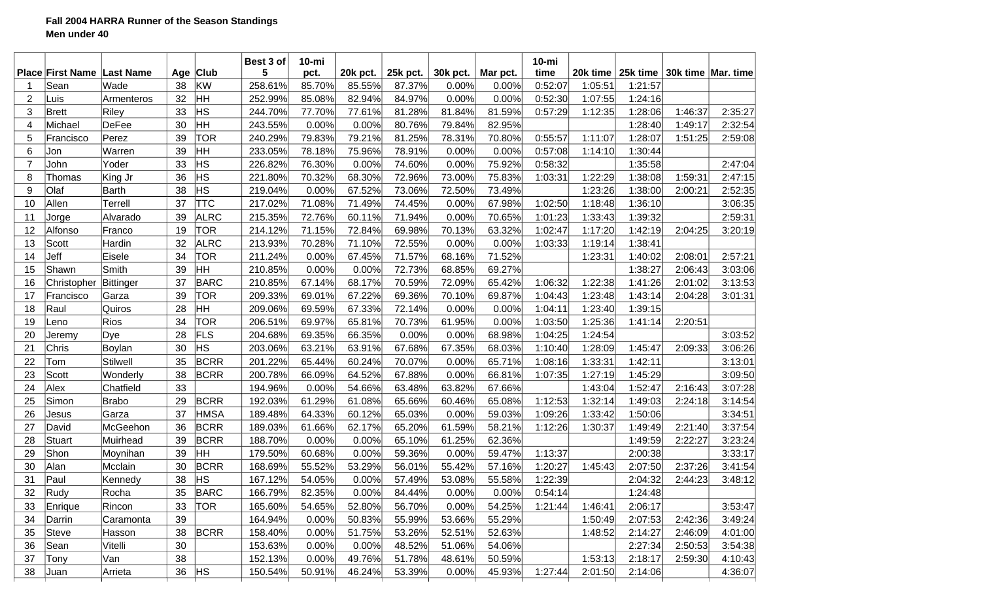## **Fall 2004 HARRA Runner of the Season Standings Men under 40**

|                |                                           |                  |           | <b>Club</b> | Best 3 of<br>5 | $10 - mi$      |                    |                    |                   |                   | $10$ -mi<br>time | 20k time | 25k time |         | 30k time   Mar. time |
|----------------|-------------------------------------------|------------------|-----------|-------------|----------------|----------------|--------------------|--------------------|-------------------|-------------------|------------------|----------|----------|---------|----------------------|
|                | <b>Place First Name Last Name</b><br>Sean | Wade             | Age<br>38 | KW          | 258.61%        | pct.<br>85.70% | 20k pct.<br>85.55% | 25k pct.<br>87.37% | 30k pct.<br>0.00% | Mar pct.<br>0.00% | 0:52:07          | 1:05:51  | 1:21:57  |         |                      |
| $\overline{2}$ | Luis                                      | Armenteros       | 32        | HH          | 252.99%        | 85.08%         | 82.94%             | 84.97%             | 0.00%             | 0.00%             | 0:52:30          | 1:07:55  | 1:24:16  |         |                      |
| 3              | Brett                                     | Riley            | 33        | <b>HS</b>   | 244.70%        | 77.70%         | 77.61%             | 81.28%             | 81.84%            | 81.59%            | 0:57:29          | 1:12:35  | 1:28:06  | 1:46:37 | 2:35:27              |
| 4              | Michael                                   | DeFee            | 30        | HH          | 243.55%        | 0.00%          | 0.00%              | 80.76%             | 79.84%            | 82.95%            |                  |          | 1:28:40  | 1:49:17 | 2:32:54              |
| 5              | Francisco                                 | Perez            | 39        | <b>TOR</b>  | 240.29%        | 79.83%         | 79.21%             | 81.25%             | 78.31%            | 70.80%            | 0:55:57          | 1:11:07  | 1:28:07  | 1:51:25 | 2:59:08              |
| 6              | Jon                                       | Warren           | 39        | HH          | 233.05%        | 78.18%         | 75.96%             | 78.91%             | 0.00%             | 0.00%             | 0:57:08          | 1:14:10  | 1:30:44  |         |                      |
| $\overline{7}$ | John                                      | Yoder            | 33        | <b>HS</b>   | 226.82%        | 76.30%         | 0.00%              | 74.60%             | 0.00%             | 75.92%            | 0:58:32          |          | 1:35:58  |         | 2:47:04              |
| 8              | Thomas                                    | King Jr          | 36        | HS          | 221.80%        | 70.32%         | 68.30%             | 72.96%             | 73.00%            | 75.83%            | 1:03:31          | 1:22:29  | 1:38:08  | 1:59:31 | 2:47:15              |
| 9              | Olaf                                      | <b>Barth</b>     | 38        | HS          | 219.04%        | 0.00%          | 67.52%             | 73.06%             | 72.50%            | 73.49%            |                  | 1:23:26  | 1:38:00  | 2:00:21 | 2:52:35              |
| 10             | Allen                                     | Terrell          | 37        | <b>TTC</b>  | 217.02%        | 71.08%         | 71.49%             | 74.45%             | 0.00%             | 67.98%            | 1:02:50          | 1:18:48  | 1:36:10  |         | 3:06:35              |
| 11             |                                           | Alvarado         | 39        | <b>ALRC</b> | 215.35%        | 72.76%         | 60.11%             | 71.94%             | 0.00%             | 70.65%            | 1:01:23          | 1:33:43  | 1:39:32  |         | 2:59:31              |
| 12             | Jorge<br>Alfonso                          |                  | 19        | <b>TOR</b>  | 214.12%        | 71.15%         | 72.84%             | 69.98%             | 70.13%            | 63.32%            | 1:02:47          | 1:17:20  | 1:42:19  | 2:04:25 |                      |
| 13             | Scott                                     | Franco<br>Hardin | 32        | <b>ALRC</b> | 213.93%        | 70.28%         | 71.10%             | 72.55%             | 0.00%             | 0.00%             | 1:03:33          | 1:19:14  | 1:38:41  |         | 3:20:19              |
| 14             | Jeff                                      | Eisele           | 34        | TOR         | 211.24%        | 0.00%          | 67.45%             | 71.57%             | 68.16%            | 71.52%            |                  | 1:23:31  | 1:40:02  | 2:08:01 | 2:57:21              |
| 15             | Shawn                                     | Smith            | 39        | HH          | 210.85%        | 0.00%          | 0.00%              | 72.73%             | 68.85%            | 69.27%            |                  |          | 1:38:27  | 2:06:43 | 3:03:06              |
|                |                                           |                  | 37        |             |                |                |                    |                    |                   |                   |                  |          |          |         |                      |
| 16             | Christopher                               | Bittinger        |           | <b>BARC</b> | 210.85%        | 67.14%         | 68.17%             | 70.59%             | 72.09%            | 65.42%            | 1:06:32          | 1:22:38  | 1:41:26  | 2:01:02 | 3:13:53              |
| 17             | Francisco                                 | Garza            | 39        | <b>TOR</b>  | 209.33%        | 69.01%         | 67.22%             | 69.36%             | 70.10%            | 69.87%            | 1:04:43          | 1:23:48  | 1:43:14  | 2:04:28 | 3:01:31              |
| 18             | Raul                                      | Quiros           | 28<br>34  | HH          | 209.06%        | 69.59%         | 67.33%             | 72.14%             | 0.00%             | 0.00%             | 1:04:11          | 1:23:40  | 1:39:15  |         |                      |
| 19             | Leno                                      | Rios             |           | <b>TOR</b>  | 206.51%        | 69.97%         | 65.81%             | 70.73%             | 61.95%            | 0.00%             | 1:03:50          | 1:25:36  | 1:41:14  | 2:20:51 |                      |
| 20             | Jeremy                                    | Dye              | 28        | FLS<br>HS   | 204.68%        | 69.35%         | 66.35%             | 0.00%              | 0.00%             | 68.98%            | 1:04:25          | 1:24:54  |          |         | 3:03:52              |
| 21             | Chris                                     | Boylan           | 30        |             | 203.06%        | 63.21%         | 63.91%             | 67.68%             | 67.35%            | 68.03%            | 1:10:40          | 1:28:09  | 1:45:47  | 2:09:33 | 3:06:26              |
| 22             | Tom                                       | Stilwell         | 35        | <b>BCRR</b> | 201.22%        | 65.44%         | 60.24%             | 70.07%             | 0.00%             | 65.71%            | 1:08:16          | 1:33:31  | 1:42:11  |         | 3:13:01              |
| 23             | Scott                                     | Wonderly         | 38        | <b>BCRR</b> | 200.78%        | 66.09%         | 64.52%             | 67.88%             | 0.00%             | 66.81%            | 1:07:35          | 1:27:19  | 1:45:29  |         | 3:09:50              |
| 24             | Alex                                      | Chatfield        | 33        |             | 194.96%        | 0.00%          | 54.66%             | 63.48%             | 63.82%            | 67.66%            |                  | 1:43:04  | 1:52:47  | 2:16:43 | 3:07:28              |
| 25             | Simon                                     | <b>Brabo</b>     | 29        | <b>BCRR</b> | 192.03%        | 61.29%         | 61.08%             | 65.66%             | 60.46%            | 65.08%            | 1:12:53          | 1:32:14  | 1:49:03  | 2:24:18 | 3:14:54              |
| 26             | Jesus                                     | Garza            | 37        | <b>HMSA</b> | 189.48%        | 64.33%         | 60.12%             | 65.03%             | 0.00%             | 59.03%            | 1:09:26          | 1:33:42  | 1:50:06  |         | 3:34:51              |
| 27             | David                                     | McGeehon         | 36        | <b>BCRR</b> | 189.03%        | 61.66%         | 62.17%             | 65.20%             | 61.59%            | 58.21%            | 1:12:26          | 1:30:37  | 1:49:49  | 2:21:40 | 3:37:54              |
| 28             | Stuart                                    | Muirhead         | 39        | <b>BCRR</b> | 188.70%        | 0.00%          | 0.00%              | 65.10%             | 61.25%            | 62.36%            |                  |          | 1:49:59  | 2:22:27 | 3:23:24              |
| 29             | Shon                                      | Moynihan         | 39        | HH          | 179.50%        | 60.68%         | 0.00%              | 59.36%             | 0.00%             | 59.47%            | 1:13:37          |          | 2:00:38  |         | 3:33:17              |
| 30             | Alan                                      | Mcclain          | 30        | <b>BCRR</b> | 168.69%        | 55.52%         | 53.29%             | 56.01%             | 55.42%            | 57.16%            | 1:20:27          | 1:45:43  | 2:07:50  | 2:37:26 | 3:41:54              |
| 31             | Paul                                      | Kennedy          | 38        | ∣нs         | 167.12%        | 54.05%         | 0.00%              | 57.49%             | 53.08%            | 55.58%            | 1:22:39          |          | 2:04:32  | 2:44:23 | 3:48:12              |
| 32             | Rudy                                      | Rocha            | 35        | <b>BARC</b> | 166.79%        | 82.35%         | 0.00%              | 84.44%             | 0.00%             | 0.00%             | 0:54:14          |          | 1:24:48  |         |                      |
| 33             | Enrique                                   | Rincon           | 33        | <b>TOR</b>  | 165.60%        | 54.65%         | 52.80%             | 56.70%             | 0.00%             | 54.25%            | 1:21:44          | 1:46:41  | 2:06:17  |         | 3:53:47              |
| 34             | Darrin                                    | Caramonta        | 39        |             | 164.94%        | 0.00%          | 50.83%             | 55.99%             | 53.66%            | 55.29%            |                  | 1:50:49  | 2:07:53  | 2:42:36 | 3:49:24              |
| 35             | Steve                                     | Hasson           | 38        | <b>BCRR</b> | 158.40%        | 0.00%          | 51.75%             | 53.26%             | 52.51%            | 52.63%            |                  | 1:48:52  | 2:14:27  | 2:46:09 | 4:01:00              |
| 36             | Sean                                      | Vitelli          | 30        |             | 153.63%        | 0.00%          | 0.00%              | 48.52%             | 51.06%            | 54.06%            |                  |          | 2:27:34  | 2:50:53 | 3:54:38              |
| 37             | Tony                                      | Van              | 38        |             | 152.13%        | 0.00%          | 49.76%             | 51.78%             | 48.61%            | 50.59%            |                  | 1:53:13  | 2:18:17  | 2:59:30 | 4:10:43              |
| 38             | Juan                                      | Arrieta          | 36        | <b>HS</b>   | 150.54%        | 50.91%         | 46.24%             | 53.39%             | 0.00%             | 45.93%            | 1:27:44          | 2:01:50  | 2:14:06  |         | 4:36:07              |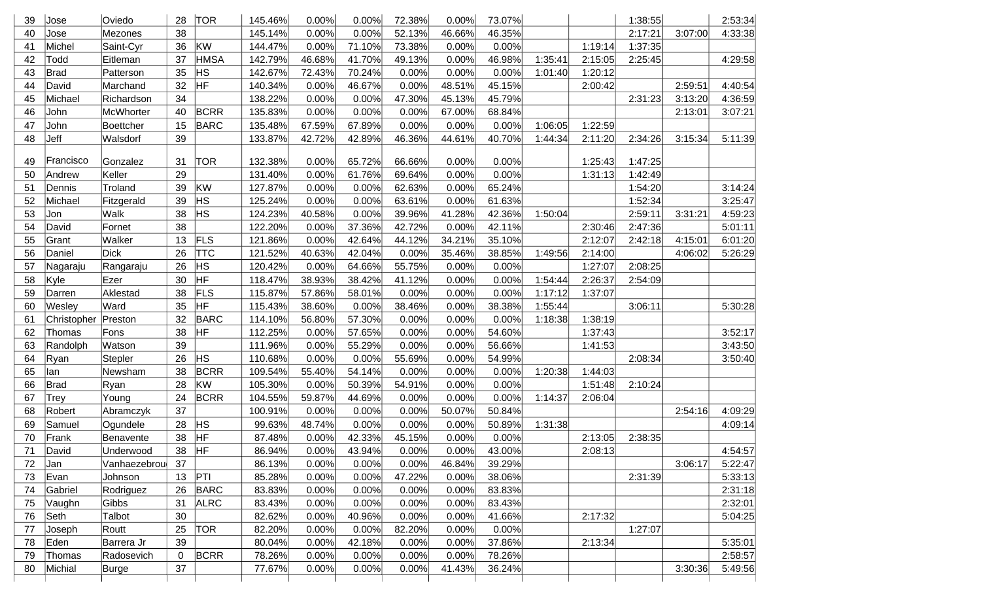| 39 | Jose        | Oviedo       | 28 | <b>TOR</b>  | 145.46% | 0.00%  | 0.00%  | 72.38%   | 0.00%  | 73.07% |         |         | 1:38:55 |         | 2:53:34 |
|----|-------------|--------------|----|-------------|---------|--------|--------|----------|--------|--------|---------|---------|---------|---------|---------|
| 40 | Jose        | Mezones      | 38 |             | 145.14% | 0.00%  | 0.00%  | 52.13%   | 46.66% | 46.35% |         |         | 2:17:21 | 3:07:00 | 4:33:38 |
| 41 | Michel      | Saint-Cyr    | 36 | KW          | 144.47% | 0.00%  | 71.10% | 73.38%   | 0.00%  | 0.00%  |         | 1:19:14 | 1:37:35 |         |         |
| 42 | Todd        | Eitleman     | 37 | <b>HMSA</b> | 142.79% | 46.68% | 41.70% | 49.13%   | 0.00%  | 46.98% | 1:35:41 | 2:15:05 | 2:25:45 |         | 4:29:58 |
| 43 | <b>Brad</b> | Patterson    | 35 | <b>HS</b>   | 142.67% | 72.43% | 70.24% | 0.00%    | 0.00%  | 0.00%  | 1:01:40 | 1:20:12 |         |         |         |
| 44 | David       | Marchand     | 32 | HF          | 140.34% | 0.00%  | 46.67% | 0.00%    | 48.51% | 45.15% |         | 2:00:42 |         | 2:59:51 | 4:40:54 |
| 45 | Michael     | Richardson   | 34 |             | 138.22% | 0.00%  | 0.00%  | 47.30%   | 45.13% | 45.79% |         |         | 2:31:23 | 3:13:20 | 4:36:59 |
| 46 | John        | McWhorter    | 40 | <b>BCRR</b> | 135.83% | 0.00%  | 0.00%  | 0.00%    | 67.00% | 68.84% |         |         |         | 2:13:01 | 3:07:21 |
| 47 | John        | Boettcher    | 15 | <b>BARC</b> | 135.48% | 67.59% | 67.89% | 0.00%    | 0.00%  | 0.00%  | 1:06:05 | 1:22:59 |         |         |         |
| 48 | Jeff        | Walsdorf     | 39 |             | 133.87% | 42.72% | 42.89% | 46.36%   | 44.61% | 40.70% | 1:44:34 | 2:11:20 | 2:34:26 | 3:15:34 | 5:11:39 |
|    |             |              |    |             |         |        |        |          |        |        |         |         |         |         |         |
| 49 | Francisco   | Gonzalez     | 31 | <b>TOR</b>  | 132.38% | 0.00%  | 65.72% | 66.66%   | 0.00%  | 0.00%  |         | 1:25:43 | 1:47:25 |         |         |
| 50 | Andrew      | Keller       | 29 |             | 131.40% | 0.00%  | 61.76% | 69.64%   | 0.00%  | 0.00%  |         | 1:31:13 | 1:42:49 |         |         |
| 51 | Dennis      | Troland      | 39 | KW          | 127.87% | 0.00%  | 0.00%  | 62.63%   | 0.00%  | 65.24% |         |         | 1:54:20 |         | 3:14:24 |
| 52 | Michael     | Fitzgerald   | 39 | <b>HS</b>   | 125.24% | 0.00%  | 0.00%  | 63.61%   | 0.00%  | 61.63% |         |         | 1:52:34 |         | 3:25:47 |
| 53 | Jon         | Walk         | 38 | HS          | 124.23% | 40.58% | 0.00%  | 39.96%   | 41.28% | 42.36% | 1:50:04 |         | 2:59:11 | 3:31:21 | 4:59:23 |
| 54 | David       | Fornet       | 38 |             | 122.20% | 0.00%  | 37.36% | 42.72%   | 0.00%  | 42.11% |         | 2:30:46 | 2:47:36 |         | 5:01:11 |
| 55 | Grant       | Walker       | 13 | <b>FLS</b>  | 121.86% | 0.00%  | 42.64% | 44.12%   | 34.21% | 35.10% |         | 2:12:07 | 2:42:18 | 4:15:01 | 6:01:20 |
| 56 | Daniel      | <b>Dick</b>  | 26 | <b>TTC</b>  | 121.52% | 40.63% | 42.04% | 0.00%    | 35.46% | 38.85% | 1:49:56 | 2:14:00 |         | 4:06:02 | 5:26:29 |
| 57 | Nagaraju    | Rangaraju    | 26 | <b>HS</b>   | 120.42% | 0.00%  | 64.66% | 55.75%   | 0.00%  | 0.00%  |         | 1:27:07 | 2:08:25 |         |         |
| 58 | Kyle        | Ezer         | 30 | HF          | 118.47% | 38.93% | 38.42% | 41.12%   | 0.00%  | 0.00%  | 1:54:44 | 2:26:37 | 2:54:09 |         |         |
| 59 | Darren      | Aklestad     | 38 | <b>FLS</b>  | 115.87% | 57.86% | 58.01% | 0.00%    | 0.00%  | 0.00%  | 1:17:12 | 1:37:07 |         |         |         |
| 60 | Wesley      | Ward         | 35 | HF          | 115.43% | 38.60% | 0.00%  | 38.46%   | 0.00%  | 38.38% | 1:55:44 |         | 3:06:11 |         | 5:30:28 |
| 61 | Christopher | Preston      | 32 | <b>BARC</b> | 114.10% | 56.80% | 57.30% | 0.00%    | 0.00%  | 0.00%  | 1:18:38 | 1:38:19 |         |         |         |
| 62 | Thomas      | Fons         | 38 | <b>HF</b>   | 112.25% | 0.00%  | 57.65% | 0.00%    | 0.00%  | 54.60% |         | 1:37:43 |         |         | 3:52:17 |
| 63 | Randolph    | Watson       | 39 |             | 111.96% | 0.00%  | 55.29% | 0.00%    | 0.00%  | 56.66% |         | 1:41:53 |         |         | 3:43:50 |
| 64 | Ryan        | Stepler      | 26 | <b>HS</b>   | 110.68% | 0.00%  | 0.00%  | 55.69%   | 0.00%  | 54.99% |         |         | 2:08:34 |         | 3:50:40 |
| 65 | lan         | Newsham      | 38 | <b>BCRR</b> | 109.54% | 55.40% | 54.14% | 0.00%    | 0.00%  | 0.00%  | 1:20:38 | 1:44:03 |         |         |         |
| 66 | Brad        | Ryan         | 28 | kw          | 105.30% | 0.00%  | 50.39% | 54.91%   | 0.00%  | 0.00%  |         | 1:51:48 | 2:10:24 |         |         |
| 67 | Trey        | Young        | 24 | <b>BCRR</b> | 104.55% | 59.87% | 44.69% | 0.00%    | 0.00%  | 0.00%  | 1:14:37 | 2:06:04 |         |         |         |
| 68 | Robert      | Abramczyk    | 37 |             | 100.91% | 0.00%  | 0.00%  | 0.00%    | 50.07% | 50.84% |         |         |         | 2:54:16 | 4:09:29 |
| 69 | Samuel      | Ogundele     | 28 | <b>HS</b>   | 99.63%  | 48.74% | 0.00%  | 0.00%    | 0.00%  | 50.89% | 1:31:38 |         |         |         | 4:09:14 |
| 70 | Frank       | Benavente    | 38 | HF          | 87.48%  | 0.00%  | 42.33% | 45.15%   | 0.00%  | 0.00%  |         | 2:13:05 | 2:38:35 |         |         |
| 71 | David       | Underwood    | 38 | HF          | 86.94%  | 0.00%  | 43.94% | $0.00\%$ | 0.00%  | 43.00% |         | 2:08:13 |         |         | 4:54:57 |
| 72 | Jan         | Vanhaezebrou | 37 |             | 86.13%  | 0.00%  | 0.00%  | 0.00%    | 46.84% | 39.29% |         |         |         | 3:06:17 | 5:22:47 |
| 73 | Evan        | Johnson      | 13 | PTI         | 85.28%  | 0.00%  | 0.00%  | 47.22%   | 0.00%  | 38.06% |         |         | 2:31:39 |         | 5:33:13 |
| 74 | Gabriel     | Rodriguez    | 26 | <b>BARC</b> | 83.83%  | 0.00%  | 0.00%  | 0.00%    | 0.00%  | 83.83% |         |         |         |         | 2:31:18 |
| 75 | Vaughn      | <b>Gibbs</b> | 31 | <b>ALRC</b> | 83.43%  | 0.00%  | 0.00%  | 0.00%    | 0.00%  | 83.43% |         |         |         |         | 2:32:01 |
| 76 | Seth        | Talbot       | 30 |             | 82.62%  | 0.00%  | 40.96% | 0.00%    | 0.00%  | 41.66% |         | 2:17:32 |         |         | 5:04:25 |
| 77 | Joseph      | Routt        | 25 | <b>TOR</b>  | 82.20%  | 0.00%  | 0.00%  | 82.20%   | 0.00%  | 0.00%  |         |         | 1:27:07 |         |         |
| 78 | Eden        | Barrera Jr   | 39 |             | 80.04%  | 0.00%  | 42.18% | 0.00%    | 0.00%  | 37.86% |         | 2:13:34 |         |         | 5:35:01 |
| 79 | Thomas      | Radosevich   | 0  | <b>BCRR</b> | 78.26%  | 0.00%  | 0.00%  | 0.00%    | 0.00%  | 78.26% |         |         |         |         | 2:58:57 |
| 80 | Michial     | Burge        | 37 |             | 77.67%  | 0.00%  | 0.00%  | 0.00%    | 41.43% | 36.24% |         |         |         | 3:30:36 | 5:49:56 |
|    |             |              |    |             |         |        |        |          |        |        |         |         |         |         |         |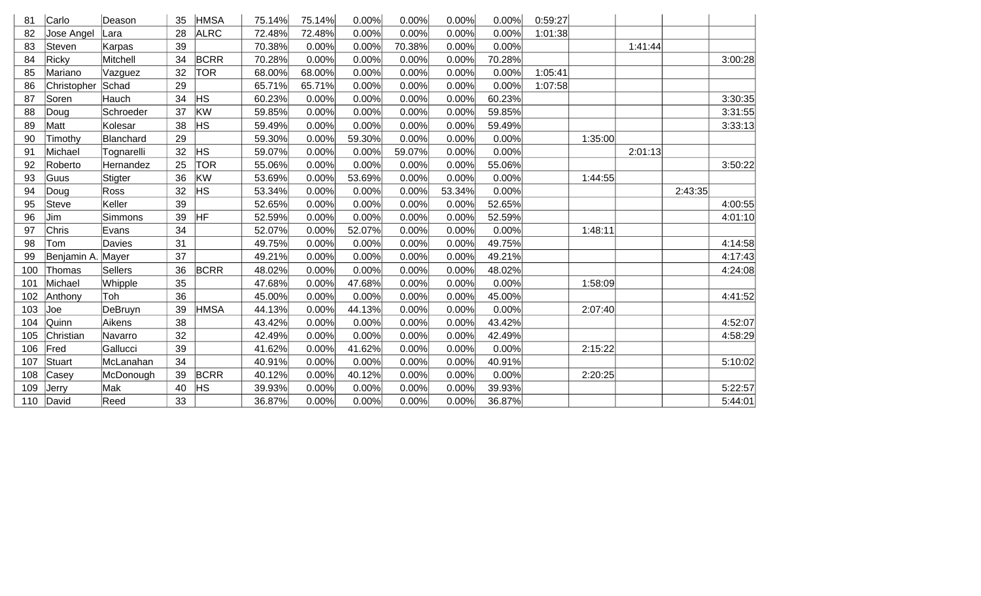| 81  | Carlo       | Deason         | 35 | <b>HMSA</b> | 75.14% | 75.14% | 0.00%  | 0.00%  | 0.00%  | 0.00%  | 0:59:27 |         |         |         |         |
|-----|-------------|----------------|----|-------------|--------|--------|--------|--------|--------|--------|---------|---------|---------|---------|---------|
| 82  | Jose Angel  | Lara           | 28 | <b>ALRC</b> | 72.48% | 72.48% | 0.00%  | 0.00%  | 0.00%  | 0.00%  | 1:01:38 |         |         |         |         |
| 83  | Steven      | Karpas         | 39 |             | 70.38% | 0.00%  | 0.00%  | 70.38% | 0.00%  | 0.00%  |         |         | 1:41:44 |         |         |
| 84  | Ricky       | Mitchell       | 34 | <b>BCRR</b> | 70.28% | 0.00%  | 0.00%  | 0.00%  | 0.00%  | 70.28% |         |         |         |         | 3:00:28 |
| 85  | Mariano     | Vazguez        | 32 | <b>TOR</b>  | 68.00% | 68.00% | 0.00%  | 0.00%  | 0.00%  | 0.00%  | 1:05:41 |         |         |         |         |
| 86  | Christopher | Schad          | 29 |             | 65.71% | 65.71% | 0.00%  | 0.00%  | 0.00%  | 0.00%  | 1:07:58 |         |         |         |         |
| 87  | Soren       | Hauch          | 34 | <b>HS</b>   | 60.23% | 0.00%  | 0.00%  | 0.00%  | 0.00%  | 60.23% |         |         |         |         | 3:30:35 |
| 88  | Doug        | Schroeder      | 37 | KW          | 59.85% | 0.00%  | 0.00%  | 0.00%  | 0.00%  | 59.85% |         |         |         |         | 3:31:55 |
| 89  | Matt        | Kolesar        | 38 | <b>HS</b>   | 59.49% | 0.00%  | 0.00%  | 0.00%  | 0.00%  | 59.49% |         |         |         |         | 3:33:13 |
| 90  | Timothy     | Blanchard      | 29 |             | 59.30% | 0.00%  | 59.30% | 0.00%  | 0.00%  | 0.00%  |         | 1:35:00 |         |         |         |
| 91  | Michael     | Tognarelli     | 32 | <b>HS</b>   | 59.07% | 0.00%  | 0.00%  | 59.07% | 0.00%  | 0.00%  |         |         | 2:01:13 |         |         |
| 92  | Roberto     | Hernandez      | 25 | <b>TOR</b>  | 55.06% | 0.00%  | 0.00%  | 0.00%  | 0.00%  | 55.06% |         |         |         |         | 3:50:22 |
| 93  | Guus        | Stigter        | 36 | KW          | 53.69% | 0.00%  | 53.69% | 0.00%  | 0.00%  | 0.00%  |         | 1:44:55 |         |         |         |
| 94  | Doug        | Ross           | 32 | <b>HS</b>   | 53.34% | 0.00%  | 0.00%  | 0.00%  | 53.34% | 0.00%  |         |         |         | 2:43:35 |         |
| 95  | Steve       | Keller         | 39 |             | 52.65% | 0.00%  | 0.00%  | 0.00%  | 0.00%  | 52.65% |         |         |         |         | 4:00:55 |
| 96  | Jim         | Simmons        | 39 | HF          | 52.59% | 0.00%  | 0.00%  | 0.00%  | 0.00%  | 52.59% |         |         |         |         | 4:01:10 |
| 97  | Chris       | Evans          | 34 |             | 52.07% | 0.00%  | 52.07% | 0.00%  | 0.00%  | 0.00%  |         | 1:48:11 |         |         |         |
| 98  | Tom         | Davies         | 31 |             | 49.75% | 0.00%  | 0.00%  | 0.00%  | 0.00%  | 49.75% |         |         |         |         | 4:14:58 |
| 99  | Benjamin A. | Mayer          | 37 |             | 49.21% | 0.00%  | 0.00%  | 0.00%  | 0.00%  | 49.21% |         |         |         |         | 4:17:43 |
| 100 | Thomas      | <b>Sellers</b> | 36 | <b>BCRR</b> | 48.02% | 0.00%  | 0.00%  | 0.00%  | 0.00%  | 48.02% |         |         |         |         | 4:24:08 |
| 101 | Michael     | Whipple        | 35 |             | 47.68% | 0.00%  | 47.68% | 0.00%  | 0.00%  | 0.00%  |         | 1:58:09 |         |         |         |
| 102 | Anthony     | Toh            | 36 |             | 45.00% | 0.00%  | 0.00%  | 0.00%  | 0.00%  | 45.00% |         |         |         |         | 4:41:52 |
| 103 | Joe         | DeBruyn        | 39 | <b>HMSA</b> | 44.13% | 0.00%  | 44.13% | 0.00%  | 0.00%  | 0.00%  |         | 2:07:40 |         |         |         |
| 104 | Quinn       | Aikens         | 38 |             | 43.42% | 0.00%  | 0.00%  | 0.00%  | 0.00%  | 43.42% |         |         |         |         | 4:52:07 |
| 105 | Christian   | Navarro        | 32 |             | 42.49% | 0.00%  | 0.00%  | 0.00%  | 0.00%  | 42.49% |         |         |         |         | 4:58:29 |
| 106 | Fred        | Gallucci       | 39 |             | 41.62% | 0.00%  | 41.62% | 0.00%  | 0.00%  | 0.00%  |         | 2:15:22 |         |         |         |
| 107 | Stuart      | McLanahan      | 34 |             | 40.91% | 0.00%  | 0.00%  | 0.00%  | 0.00%  | 40.91% |         |         |         |         | 5:10:02 |
| 108 | Casey       | McDonough      | 39 | <b>BCRR</b> | 40.12% | 0.00%  | 40.12% | 0.00%  | 0.00%  | 0.00%  |         | 2:20:25 |         |         |         |
| 109 | Jerry       | Mak            | 40 | ΗS          | 39.93% | 0.00%  | 0.00%  | 0.00%  | 0.00%  | 39.93% |         |         |         |         | 5:22:57 |
| 110 | David       | Reed           | 33 |             | 36.87% | 0.00%  | 0.00%  | 0.00%  | 0.00%  | 36.87% |         |         |         |         | 5:44:01 |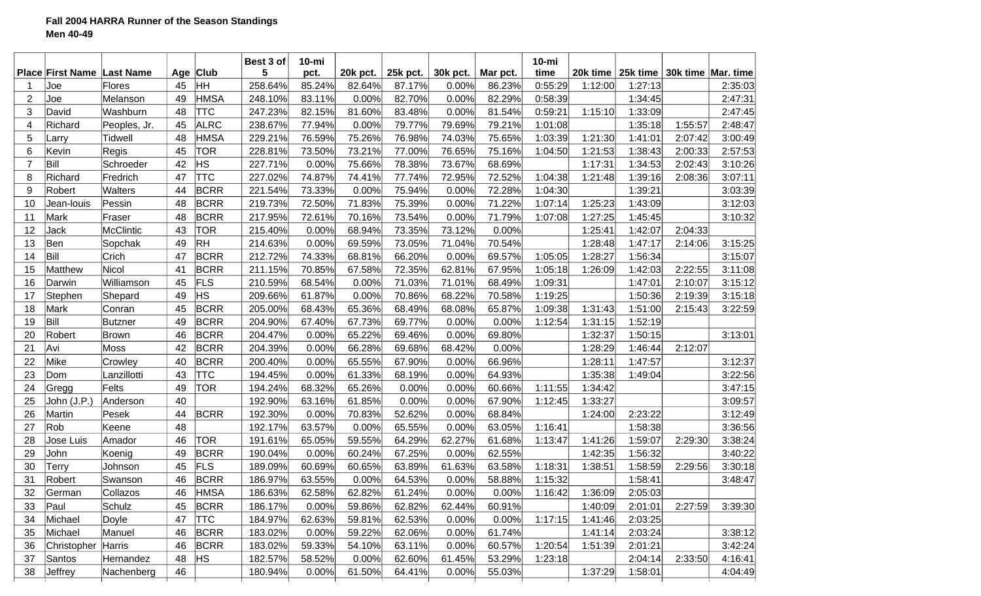|                |                                   |                |    |             | Best 3 of | $10$ -mi |          |          |          |          | $10 - mi$ |          |                                 |         |         |
|----------------|-----------------------------------|----------------|----|-------------|-----------|----------|----------|----------|----------|----------|-----------|----------|---------------------------------|---------|---------|
|                | <b>Place First Name Last Name</b> |                |    | Age Club    | 5         | pct.     | 20k pct. | 25k pct. | 30k pct. | Mar pct. | time      | 20k time | 25k time   30k time   Mar. time |         |         |
|                | Joe                               | Flores         | 45 | ∣HH         | 258.64%   | 85.24%   | 82.64%   | 87.17%   | 0.00%    | 86.23%   | 0:55:29   | 1:12:00  | 1:27:13                         |         | 2:35:03 |
| $\overline{2}$ | Joe                               | Melanson       | 49 | <b>HMSA</b> | 248.10%   | 83.11%   | 0.00%    | 82.70%   | 0.00%    | 82.29%   | 0:58:39   |          | 1:34:45                         |         | 2:47:31 |
| 3              | David                             | Washburn       | 48 | <b>TTC</b>  | 247.23%   | 82.15%   | 81.60%   | 83.48%   | 0.00%    | 81.54%   | 0:59:21   | 1:15:10  | 1:33:09                         |         | 2:47:45 |
| 4              | Richard                           | Peoples, Jr.   | 45 | <b>ALRC</b> | 238.67%   | 77.94%   | 0.00%    | 79.77%   | 79.69%   | 79.21%   | 1:01:08   |          | 1:35:18                         | 1:55:57 | 2:48:47 |
| 5              | Larry                             | Tidwell        | 48 | ∣HMSA       | 229.21%   | 76.59%   | 75.26%   | 76.98%   | 74.03%   | 75.65%   | 1:03:39   | 1:21:30  | 1:41:01                         | 2:07:42 | 3:00:49 |
| 6              | Kevin                             | Regis          | 45 | <b>TOR</b>  | 228.81%   | 73.50%   | 73.21%   | 77.00%   | 76.65%   | 75.16%   | 1:04:50   | 1:21:53  | 1:38:43                         | 2:00:33 | 2:57:53 |
| $\overline{7}$ | Bill                              | Schroeder      | 42 | HS          | 227.71%   | 0.00%    | 75.66%   | 78.38%   | 73.67%   | 68.69%   |           | 1:17:31  | 1:34:53                         | 2:02:43 | 3:10:26 |
| 8              | Richard                           | Fredrich       | 47 | <b>TTC</b>  | 227.02%   | 74.87%   | 74.41%   | 77.74%   | 72.95%   | 72.52%   | 1:04:38   | 1:21:48  | 1:39:16                         | 2:08:36 | 3:07:11 |
| 9              | Robert                            | <b>Walters</b> | 44 | <b>BCRR</b> | 221.54%   | 73.33%   | 0.00%    | 75.94%   | 0.00%    | 72.28%   | 1:04:30   |          | 1:39:21                         |         | 3:03:39 |
| 10             | Jean-louis                        | Pessin         | 48 | <b>BCRR</b> | 219.73%   | 72.50%   | 71.83%   | 75.39%   | 0.00%    | 71.22%   | 1:07:14   | 1:25:23  | 1:43:09                         |         | 3:12:03 |
| 11             | Mark                              | Fraser         | 48 | <b>BCRR</b> | 217.95%   | 72.61%   | 70.16%   | 73.54%   | 0.00%    | 71.79%   | 1:07:08   | 1:27:25  | 1:45:45                         |         | 3:10:32 |
| 12             | Jack                              | McClintic      | 43 | <b>TOR</b>  | 215.40%   | 0.00%    | 68.94%   | 73.35%   | 73.12%   | 0.00%    |           | 1:25:41  | 1:42:07                         | 2:04:33 |         |
| 13             | Ben                               | Sopchak        | 49 | RH          | 214.63%   | 0.00%    | 69.59%   | 73.05%   | 71.04%   | 70.54%   |           | 1:28:48  | 1:47:17                         | 2:14:06 | 3:15:25 |
| 14             | Bill                              | Crich          | 47 | <b>BCRR</b> | 212.72%   | 74.33%   | 68.81%   | 66.20%   | 0.00%    | 69.57%   | 1:05:05   | 1:28:27  | 1:56:34                         |         | 3:15:07 |
| 15             | Matthew                           | Nicol          | 41 | <b>BCRR</b> | 211.15%   | 70.85%   | 67.58%   | 72.35%   | 62.81%   | 67.95%   | 1:05:18   | 1:26:09  | 1:42:03                         | 2:22:55 | 3:11:08 |
| 16             | Darwin                            | Williamson     | 45 | FLS         | 210.59%   | 68.54%   | 0.00%    | 71.03%   | 71.01%   | 68.49%   | 1:09:31   |          | 1:47:01                         | 2:10:07 | 3:15:12 |
| 17             | Stephen                           | Shepard        | 49 | ∣нs         | 209.66%   | 61.87%   | 0.00%    | 70.86%   | 68.22%   | 70.58%   | 1:19:25   |          | 1:50:36                         | 2:19:39 | 3:15:18 |
| 18             | Mark                              | Conran         | 45 | <b>BCRR</b> | 205.00%   | 68.43%   | 65.36%   | 68.49%   | 68.08%   | 65.87%   | 1:09:38   | 1:31:43  | 1:51:00                         | 2:15:43 | 3:22:59 |
| 19             | Bill                              | Butzner        | 49 | <b>BCRR</b> | 204.90%   | 67.40%   | 67.73%   | 69.77%   | 0.00%    | 0.00%    | 1:12:54   | 1:31:15  | 1:52:19                         |         |         |
| 20             | Robert                            | Brown          | 46 | <b>BCRR</b> | 204.47%   | 0.00%    | 65.22%   | 69.46%   | 0.00%    | 69.80%   |           | 1:32:37  | 1:50:15                         |         | 3:13:01 |
| 21             | Avi                               | Moss           | 42 | <b>BCRR</b> | 204.39%   | 0.00%    | 66.28%   | 69.68%   | 68.42%   | 0.00%    |           | 1:28:29  | 1:46:44                         | 2:12:07 |         |
| 22             | Mike                              | Crowley        | 40 | <b>BCRR</b> | 200.40%   | 0.00%    | 65.55%   | 67.90%   | 0.00%    | 66.96%   |           | 1:28:11  | 1:47:57                         |         | 3:12:37 |
| 23             | Dom                               | Lanzillotti    | 43 | <b>TTC</b>  | 194.45%   | 0.00%    | 61.33%   | 68.19%   | 0.00%    | 64.93%   |           | 1:35:38  | 1:49:04                         |         | 3:22:56 |
| 24             | Gregg                             | Felts          | 49 | <b>TOR</b>  | 194.24%   | 68.32%   | 65.26%   | 0.00%    | 0.00%    | 60.66%   | 1:11:55   | 1:34:42  |                                 |         | 3:47:15 |
| 25             | John (J.P.                        | Anderson       | 40 |             | 192.90%   | 63.16%   | 61.85%   | 0.00%    | 0.00%    | 67.90%   | 1:12:45   | 1:33:27  |                                 |         | 3:09:57 |
| 26             | Martin                            | Pesek          | 44 | <b>BCRR</b> | 192.30%   | 0.00%    | 70.83%   | 52.62%   | 0.00%    | 68.84%   |           | 1:24:00  | 2:23:22                         |         | 3:12:49 |
| 27             | Rob                               | Keene          | 48 |             | 192.17%   | 63.57%   | 0.00%    | 65.55%   | 0.00%    | 63.05%   | 1:16:41   |          | 1:58:38                         |         | 3:36:56 |
| 28             | Jose Luis                         | Amador         | 46 | <b>TOR</b>  | 191.61%   | 65.05%   | 59.55%   | 64.29%   | 62.27%   | 61.68%   | 1:13:47   | 1:41:26  | 1:59:07                         | 2:29:30 | 3:38:24 |
| 29             | John                              | Koenig         | 49 | <b>BCRR</b> | 190.04%   | 0.00%    | 60.24%   | 67.25%   | 0.00%    | 62.55%   |           | 1:42:35  | 1:56:32                         |         | 3:40:22 |
| 30             | Terry                             | Johnson        | 45 | FLS         | 189.09%   | 60.69%   | 60.65%   | 63.89%   | 61.63%   | 63.58%   | 1:18:31   | 1:38:51  | 1:58:59                         | 2:29:56 | 3:30:18 |
| 31             | Robert                            | Swanson        | 46 | <b>BCRR</b> | 186.97%   | 63.55%   | 0.00%    | 64.53%   | 0.00%    | 58.88%   | 1:15:32   |          | 1:58:41                         |         | 3:48:47 |
| 32             | German                            | Collazos       | 46 | <b>HMSA</b> | 186.63%   | 62.58%   | 62.82%   | 61.24%   | 0.00%    | 0.00%    | 1:16:42   | 1:36:09  | 2:05:03                         |         |         |
| 33             | Paul                              | Schulz         | 45 | <b>BCRR</b> | 186.17%   | 0.00%    | 59.86%   | 62.82%   | 62.44%   | 60.91%   |           | 1:40:09  | 2:01:01                         | 2:27:59 | 3:39:30 |
| 34             | Michael                           | Doyle          | 47 | <b>TTC</b>  | 184.97%   | 62.63%   | 59.81%   | 62.53%   | 0.00%    | 0.00%    | 1:17:15   | 1:41:46  | 2:03:25                         |         |         |
| 35             | Michael                           | Manuel         | 46 | <b>BCRR</b> | 183.02%   | 0.00%    | 59.22%   | 62.06%   | 0.00%    | 61.74%   |           | 1:41:14  | 2:03:24                         |         | 3:38:12 |
| 36             | Christopher                       | Harris         | 46 | <b>BCRR</b> | 183.02%   | 59.33%   | 54.10%   | 63.11%   | 0.00%    | 60.57%   | 1:20:54   | 1:51:39  | 2:01:21                         |         | 3:42:24 |
| 37             | Santos                            | Hernandez      | 48 | <b>HS</b>   | 182.57%   | 58.52%   | 0.00%    | 62.60%   | 61.45%   | 53.29%   | 1:23:18   |          | 2:04:14                         | 2:33:50 | 4:16:41 |
| 38             | Jeffrey                           | Nachenberg     | 46 |             | 180.94%   | 0.00%    | 61.50%   | 64.41%   | 0.00%    | 55.03%   |           | 1:37:29  | 1:58:01                         |         | 4:04:49 |
|                |                                   |                |    |             |           |          |          |          |          |          |           |          |                                 |         |         |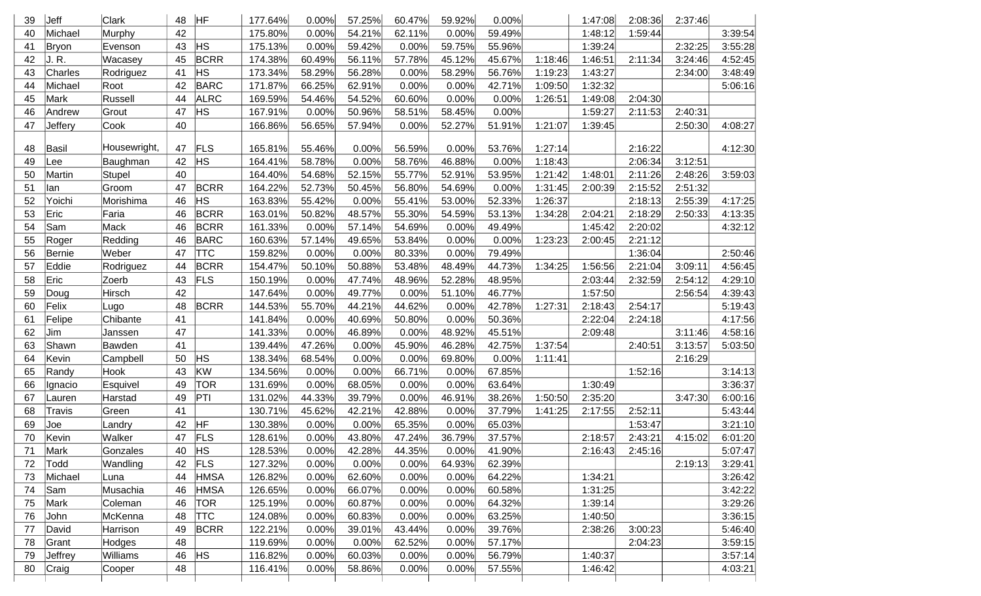| 39 | Jeff    | Clark        | 48 | HF          | 177.64% | 0.00%  | 57.25% | 60.47% | 59.92% | 0.00%  |         | 1:47:08 | 2:08:36 | 2:37:46 |         |
|----|---------|--------------|----|-------------|---------|--------|--------|--------|--------|--------|---------|---------|---------|---------|---------|
| 40 | Michael | Murphy       | 42 |             | 175.80% | 0.00%  | 54.21% | 62.11% | 0.00%  | 59.49% |         | 1:48:12 | 1:59:44 |         | 3:39:54 |
| 41 | Bryon   | Evenson      | 43 | <b>HS</b>   | 175.13% | 0.00%  | 59.42% | 0.00%  | 59.75% | 55.96% |         | 1:39:24 |         | 2:32:25 | 3:55:28 |
| 42 | J. R.   | Wacasey      | 45 | BCRR        | 174.38% | 60.49% | 56.11% | 57.78% | 45.12% | 45.67% | 1:18:46 | 1:46:51 | 2:11:34 | 3:24:46 | 4:52:45 |
| 43 | Charles | Rodriguez    | 41 | HS          | 173.34% | 58.29% | 56.28% | 0.00%  | 58.29% | 56.76% | 1:19:23 | 1:43:27 |         | 2:34:00 | 3:48:49 |
| 44 | Michael | Root         | 42 | <b>BARC</b> | 171.87% | 66.25% | 62.91% | 0.00%  | 0.00%  | 42.71% | 1:09:50 | 1:32:32 |         |         | 5:06:16 |
| 45 | Mark    | Russell      | 44 | ALRC        | 169.59% | 54.46% | 54.52% | 60.60% | 0.00%  | 0.00%  | 1:26:51 | 1:49:08 | 2:04:30 |         |         |
| 46 | Andrew  | Grout        | 47 | <b>HS</b>   | 167.91% | 0.00%  | 50.96% | 58.51% | 58.45% | 0.00%  |         | 1:59:27 | 2:11:53 | 2:40:31 |         |
| 47 | Jeffery | Cook         | 40 |             | 166.86% | 56.65% | 57.94% | 0.00%  | 52.27% | 51.91% | 1:21:07 | 1:39:45 |         | 2:50:30 | 4:08:27 |
|    |         |              |    |             |         |        |        |        |        |        |         |         |         |         |         |
| 48 | Basil   | Housewright, | 47 | <b>FLS</b>  | 165.81% | 55.46% | 0.00%  | 56.59% | 0.00%  | 53.76% | 1:27:14 |         | 2:16:22 |         | 4:12:30 |
| 49 | Lee     | Baughman     | 42 | <b>HS</b>   | 164.41% | 58.78% | 0.00%  | 58.76% | 46.88% | 0.00%  | 1:18:43 |         | 2:06:34 | 3:12:51 |         |
| 50 | Martin  | Stupel       | 40 |             | 164.40% | 54.68% | 52.15% | 55.77% | 52.91% | 53.95% | 1:21:42 | 1:48:01 | 2:11:26 | 2:48:26 | 3:59:03 |
| 51 | llan    | Groom        | 47 | <b>BCRR</b> | 164.22% | 52.73% | 50.45% | 56.80% | 54.69% | 0.00%  | 1:31:45 | 2:00:39 | 2:15:52 | 2:51:32 |         |
| 52 | Yoichi  | Morishima    | 46 | HS          | 163.83% | 55.42% | 0.00%  | 55.41% | 53.00% | 52.33% | 1:26:37 |         | 2:18:13 | 2:55:39 | 4:17:25 |
| 53 | Eric    | Faria        | 46 | <b>BCRR</b> | 163.01% | 50.82% | 48.57% | 55.30% | 54.59% | 53.13% | 1:34:28 | 2:04:21 | 2:18:29 | 2:50:33 | 4:13:35 |
| 54 | Sam     | Mack         | 46 | <b>BCRR</b> | 161.33% | 0.00%  | 57.14% | 54.69% | 0.00%  | 49.49% |         | 1:45:42 | 2:20:02 |         | 4:32:12 |
| 55 | Roger   | Redding      | 46 | <b>BARC</b> | 160.63% | 57.14% | 49.65% | 53.84% | 0.00%  | 0.00%  | 1:23:23 | 2:00:45 | 2:21:12 |         |         |
| 56 | Bernie  | Weber        | 47 | <b>TTC</b>  | 159.82% | 0.00%  | 0.00%  | 80.33% | 0.00%  | 79.49% |         |         | 1:36:04 |         | 2:50:46 |
| 57 | Eddie   | Rodriguez    | 44 | <b>BCRR</b> | 154.47% | 50.10% | 50.88% | 53.48% | 48.49% | 44.73% | 1:34:25 | 1:56:56 | 2:21:04 | 3:09:11 | 4:56:45 |
| 58 | Eric    | Zoerb        | 43 | <b>FLS</b>  | 150.19% | 0.00%  | 47.74% | 48.96% | 52.28% | 48.95% |         | 2:03:44 | 2:32:59 | 2:54:12 | 4:29:10 |
| 59 | Doug    | Hirsch       | 42 |             | 147.64% | 0.00%  | 49.77% | 0.00%  | 51.10% | 46.77% |         | 1:57:50 |         | 2:56:54 | 4:39:43 |
| 60 | Felix   | Lugo         | 48 | <b>BCRR</b> | 144.53% | 55.70% | 44.21% | 44.62% | 0.00%  | 42.78% | 1:27:31 | 2:18:43 | 2:54:17 |         | 5:19:43 |
| 61 | Felipe  | Chibante     | 41 |             | 141.84% | 0.00%  | 40.69% | 50.80% | 0.00%  | 50.36% |         | 2:22:04 | 2:24:18 |         | 4:17:56 |
| 62 | Jim     | Janssen      | 47 |             | 141.33% | 0.00%  | 46.89% | 0.00%  | 48.92% | 45.51% |         | 2:09:48 |         | 3:11:46 | 4:58:16 |
| 63 | Shawn   | Bawden       | 41 |             | 139.44% | 47.26% | 0.00%  | 45.90% | 46.28% | 42.75% | 1:37:54 |         | 2:40:51 | 3:13:57 | 5:03:50 |
| 64 | Kevin   | Campbell     | 50 | <b>HS</b>   | 138.34% | 68.54% | 0.00%  | 0.00%  | 69.80% | 0.00%  | 1:11:41 |         |         | 2:16:29 |         |
| 65 | Randy   | Hook         | 43 | <b>KW</b>   | 134.56% | 0.00%  | 0.00%  | 66.71% | 0.00%  | 67.85% |         |         | 1:52:16 |         | 3:14:13 |
| 66 | Ignacio | Esquivel     | 49 | <b>TOR</b>  | 131.69% | 0.00%  | 68.05% | 0.00%  | 0.00%  | 63.64% |         | 1:30:49 |         |         | 3:36:37 |
| 67 | Lauren  | Harstad      | 49 | PTI         | 131.02% | 44.33% | 39.79% | 0.00%  | 46.91% | 38.26% | 1:50:50 | 2:35:20 |         | 3:47:30 | 6:00:16 |
| 68 | Travis  | Green        | 41 |             | 130.71% | 45.62% | 42.21% | 42.88% | 0.00%  | 37.79% | 1:41:25 | 2:17:55 | 2:52:11 |         | 5:43:44 |
| 69 | Joe     | Landry       | 42 | <b>HF</b>   | 130.38% | 0.00%  | 0.00%  | 65.35% | 0.00%  | 65.03% |         |         | 1:53:47 |         | 3:21:10 |
| 70 | Kevin   | Walker       | 47 | FLS         | 128.61% | 0.00%  | 43.80% | 47.24% | 36.79% | 37.57% |         | 2:18:57 | 2:43:21 | 4:15:02 | 6:01:20 |
| 71 | Mark    | Gonzales     |    | $40$ HS     | 128.53% | 0.00%  | 42.28% | 44.35% | 0.00%  | 41.90% |         | 2:16:43 | 2:45:16 |         | 5:07:47 |
| 72 | Todd    | Wandling     | 42 | <b>FLS</b>  | 127.32% | 0.00%  | 0.00%  | 0.00%  | 64.93% | 62.39% |         |         |         | 2:19:13 | 3:29:41 |
| 73 | Michael | Luna         | 44 | <b>HMSA</b> | 126.82% | 0.00%  | 62.60% | 0.00%  | 0.00%  | 64.22% |         | 1:34:21 |         |         | 3:26:42 |
| 74 | Sam     | Musachia     | 46 | <b>HMSA</b> | 126.65% | 0.00%  | 66.07% | 0.00%  | 0.00%  | 60.58% |         | 1:31:25 |         |         | 3:42:22 |
| 75 | Mark    | Coleman      | 46 | <b>TOR</b>  | 125.19% | 0.00%  | 60.87% | 0.00%  | 0.00%  | 64.32% |         | 1:39:14 |         |         | 3:29:26 |
| 76 | John    | McKenna      | 48 | <b>TTC</b>  | 124.08% | 0.00%  | 60.83% | 0.00%  | 0.00%  | 63.25% |         | 1:40:50 |         |         | 3:36:15 |
| 77 | David   | Harrison     | 49 | <b>BCRR</b> | 122.21% | 0.00%  | 39.01% | 43.44% | 0.00%  | 39.76% |         | 2:38:26 | 3:00:23 |         | 5:46:40 |
| 78 | Grant   | Hodges       | 48 |             | 119.69% | 0.00%  | 0.00%  | 62.52% | 0.00%  | 57.17% |         |         | 2:04:23 |         | 3:59:15 |
| 79 | Jeffrey | Williams     | 46 | <b>HS</b>   | 116.82% | 0.00%  | 60.03% | 0.00%  | 0.00%  | 56.79% |         | 1:40:37 |         |         | 3:57:14 |
| 80 | Craig   | Cooper       | 48 |             | 116.41% | 0.00%  | 58.86% | 0.00%  | 0.00%  | 57.55% |         | 1:46:42 |         |         | 4:03:21 |
|    |         |              |    |             |         |        |        |        |        |        |         |         |         |         |         |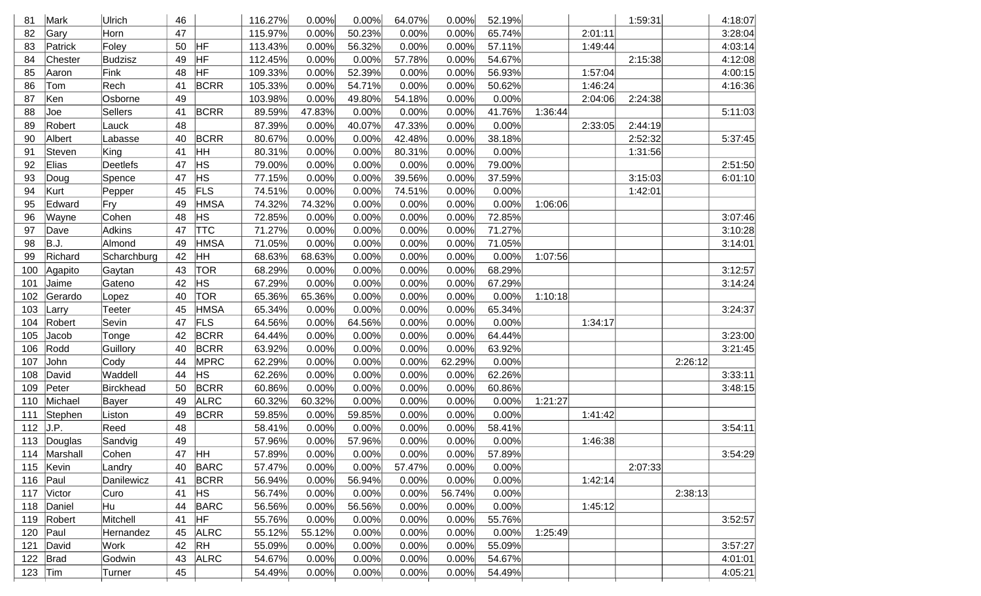| 81  | Mark         | Ulrich         | 46 |             | 116.27% | 0.00%  | 0.00%  | 64.07% | 0.00%  | 52.19% |         |         | 1:59:31 |         | 4:18:07 |
|-----|--------------|----------------|----|-------------|---------|--------|--------|--------|--------|--------|---------|---------|---------|---------|---------|
| 82  | Gary         | Horn           | 47 |             | 115.97% | 0.00%  | 50.23% | 0.00%  | 0.00%  | 65.74% |         | 2:01:11 |         |         | 3:28:04 |
| 83  | Patrick      | Foley          | 50 | HF          | 113.43% | 0.00%  | 56.32% | 0.00%  | 0.00%  | 57.11% |         | 1:49:44 |         |         | 4:03:14 |
| 84  | Chester      | <b>Budzisz</b> | 49 | HF          | 112.45% | 0.00%  | 0.00%  | 57.78% | 0.00%  | 54.67% |         |         | 2:15:38 |         | 4:12:08 |
| 85  | Aaron        | Fink           | 48 | HF          | 109.33% | 0.00%  | 52.39% | 0.00%  | 0.00%  | 56.93% |         | 1:57:04 |         |         | 4:00:15 |
| 86  | Tom          | Rech           | 41 | <b>BCRR</b> | 105.33% | 0.00%  | 54.71% | 0.00%  | 0.00%  | 50.62% |         | 1:46:24 |         |         | 4:16:36 |
| 87  | Ken          | Osborne        | 49 |             | 103.98% | 0.00%  | 49.80% | 54.18% | 0.00%  | 0.00%  |         | 2:04:06 | 2:24:38 |         |         |
| 88  | Joe          | Sellers        | 41 | <b>BCRR</b> | 89.59%  | 47.83% | 0.00%  | 0.00%  | 0.00%  | 41.76% | 1:36:44 |         |         |         | 5:11:03 |
| 89  | Robert       | Lauck          | 48 |             | 87.39%  | 0.00%  | 40.07% | 47.33% | 0.00%  | 0.00%  |         | 2:33:05 | 2:44:19 |         |         |
| 90  | Albert       | Labasse        | 40 | <b>BCRR</b> | 80.67%  | 0.00%  | 0.00%  | 42.48% | 0.00%  | 38.18% |         |         | 2:52:32 |         | 5:37:45 |
| 91  | Steven       | King           | 41 | <b>HH</b>   | 80.31%  | 0.00%  | 0.00%  | 80.31% | 0.00%  | 0.00%  |         |         | 1:31:56 |         |         |
| 92  | Elias        | Deetlefs       | 47 | HS          | 79.00%  | 0.00%  | 0.00%  | 0.00%  | 0.00%  | 79.00% |         |         |         |         | 2:51:50 |
| 93  | Doug         | Spence         | 47 | <b>HS</b>   | 77.15%  | 0.00%  | 0.00%  | 39.56% | 0.00%  | 37.59% |         |         | 3:15:03 |         | 6:01:10 |
| 94  | Kurt         | Pepper         | 45 | FLS         | 74.51%  | 0.00%  | 0.00%  | 74.51% | 0.00%  | 0.00%  |         |         | 1:42:01 |         |         |
| 95  | Edward       | Fry            | 49 | <b>HMSA</b> | 74.32%  | 74.32% | 0.00%  | 0.00%  | 0.00%  | 0.00%  | 1:06:06 |         |         |         |         |
| 96  | Wayne        | Cohen          | 48 | HS.         | 72.85%  | 0.00%  | 0.00%  | 0.00%  | 0.00%  | 72.85% |         |         |         |         | 3:07:46 |
| 97  | Dave         | Adkins         | 47 | <b>TTC</b>  | 71.27%  | 0.00%  | 0.00%  | 0.00%  | 0.00%  | 71.27% |         |         |         |         | 3:10:28 |
| 98  | B.J.         | Almond         | 49 | <b>HMSA</b> | 71.05%  | 0.00%  | 0.00%  | 0.00%  | 0.00%  | 71.05% |         |         |         |         | 3:14:01 |
| 99  | Richard      | Scharchburg    | 42 | HH          | 68.63%  | 68.63% | 0.00%  | 0.00%  | 0.00%  | 0.00%  | 1:07:56 |         |         |         |         |
| 100 | Agapito      | Gaytan         | 43 | <b>TOR</b>  | 68.29%  | 0.00%  | 0.00%  | 0.00%  | 0.00%  | 68.29% |         |         |         |         | 3:12:57 |
| 101 | Jaime        | Gateno         | 42 | HS.         | 67.29%  | 0.00%  | 0.00%  | 0.00%  | 0.00%  | 67.29% |         |         |         |         | 3:14:24 |
| 102 | Gerardo      | Lopez          | 40 | <b>TOR</b>  | 65.36%  | 65.36% | 0.00%  | 0.00%  | 0.00%  | 0.00%  | 1:10:18 |         |         |         |         |
| 103 | Larry        | Teeter         | 45 | <b>HMSA</b> | 65.34%  | 0.00%  | 0.00%  | 0.00%  | 0.00%  | 65.34% |         |         |         |         | 3:24:37 |
| 104 | Robert       | Sevin          | 47 | <b>FLS</b>  | 64.56%  | 0.00%  | 64.56% | 0.00%  | 0.00%  | 0.00%  |         | 1:34:17 |         |         |         |
| 105 | Jacob        | Tonge          | 42 | <b>BCRR</b> | 64.44%  | 0.00%  | 0.00%  | 0.00%  | 0.00%  | 64.44% |         |         |         |         | 3:23:00 |
| 106 | Rodd         | Guillory       | 40 | <b>BCRR</b> | 63.92%  | 0.00%  | 0.00%  | 0.00%  | 0.00%  | 63.92% |         |         |         |         | 3:21:45 |
| 107 | John         | Cody           | 44 | MPRC        | 62.29%  | 0.00%  | 0.00%  | 0.00%  | 62.29% | 0.00%  |         |         |         | 2:26:12 |         |
| 108 | David        | Waddell        | 44 | HS.         | 62.26%  | 0.00%  | 0.00%  | 0.00%  | 0.00%  | 62.26% |         |         |         |         | 3:33:11 |
| 109 | Peter        | Birckhead      | 50 | <b>BCRR</b> | 60.86%  | 0.00%  | 0.00%  | 0.00%  | 0.00%  | 60.86% |         |         |         |         | 3:48:15 |
| 110 | Michael      | Bayer          | 49 | <b>ALRC</b> | 60.32%  | 60.32% | 0.00%  | 0.00%  | 0.00%  | 0.00%  | 1:21:27 |         |         |         |         |
| 111 | Stephen      | Liston         | 49 | BCRR        | 59.85%  | 0.00%  | 59.85% | 0.00%  | 0.00%  | 0.00%  |         | 1:41:42 |         |         |         |
| 112 | J.P.         | Reed           | 48 |             | 58.41%  | 0.00%  | 0.00%  | 0.00%  | 0.00%  | 58.41% |         |         |         |         | 3:54:11 |
|     | 113 Douglas  | Sandvig        | 49 |             | 57.96%  | 0.00%  | 57.96% | 0.00%  | 0.00%  | 0.00%  |         | 1:46:38 |         |         |         |
|     | 114 Marshall | Cohen          |    | 47 HH       | 57.89%  | 0.00%  | 0.00%  | 0.00%  | 0.00%  | 57.89% |         |         |         |         | 3:54:29 |
| 115 | Kevin        | Landry         | 40 | BARC        | 57.47%  | 0.00%  | 0.00%  | 57.47% | 0.00%  | 0.00%  |         |         | 2:07:33 |         |         |
| 116 | $\vert$ Paul | Danilewicz     | 41 | BCRR        | 56.94%  | 0.00%  | 56.94% | 0.00%  | 0.00%  | 0.00%  |         | 1:42:14 |         |         |         |
| 117 | Victor       | Curo           | 41 | HS          | 56.74%  | 0.00%  | 0.00%  | 0.00%  | 56.74% | 0.00%  |         |         |         | 2:38:13 |         |
|     | 118 Daniel   | Hu             | 44 | BARC        | 56.56%  | 0.00%  | 56.56% | 0.00%  | 0.00%  | 0.00%  |         | 1:45:12 |         |         |         |
|     | 119 Robert   | Mitchell       | 41 | HF          | 55.76%  | 0.00%  | 0.00%  | 0.00%  | 0.00%  | 55.76% |         |         |         |         | 3:52:57 |
| 120 | Paul         | Hernandez      | 45 | <b>ALRC</b> | 55.12%  | 55.12% | 0.00%  | 0.00%  | 0.00%  | 0.00%  | 1:25:49 |         |         |         |         |
| 121 | David        | Work           | 42 | $R$ H       | 55.09%  | 0.00%  | 0.00%  | 0.00%  | 0.00%  | 55.09% |         |         |         |         | 3:57:27 |
| 122 | Brad         | Godwin         | 43 | ALRC        | 54.67%  | 0.00%  | 0.00%  | 0.00%  | 0.00%  | 54.67% |         |         |         |         | 4:01:01 |
|     | 123 $ Tim$   | Turner         | 45 |             | 54.49%  | 0.00%  | 0.00%  | 0.00%  | 0.00%  | 54.49% |         |         |         |         | 4:05:21 |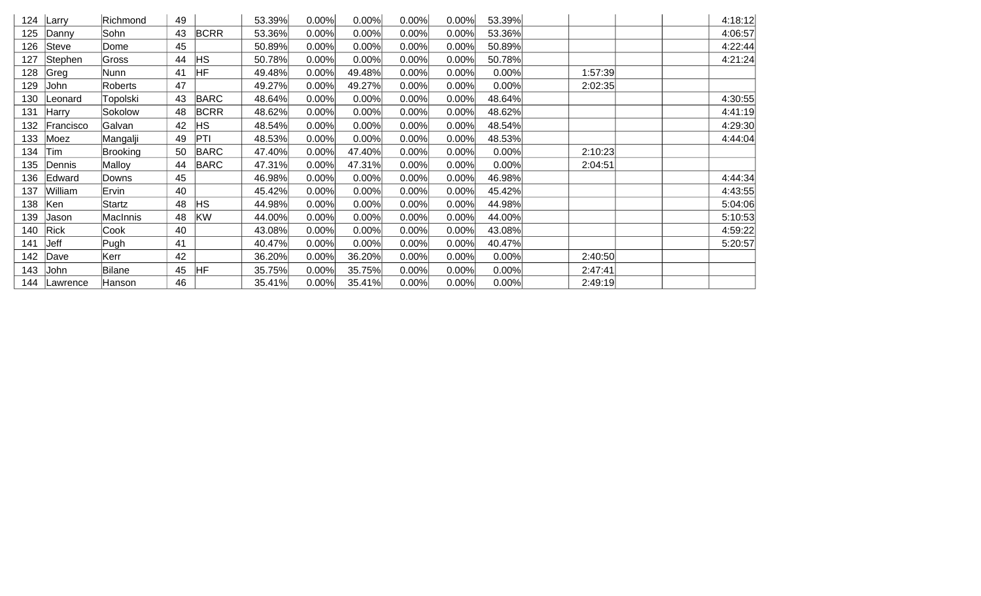| 124 | Larry        | Richmond        | 49 |             | 53.39% | 0.00% | 0.00%  | 0.00% | 0.00% | 53.39% |         | 4:18:12 |
|-----|--------------|-----------------|----|-------------|--------|-------|--------|-------|-------|--------|---------|---------|
| 125 | Danny        | Sohn            | 43 | <b>BCRR</b> | 53.36% | 0.00% | 0.00%  | 0.00% | 0.00% | 53.36% |         | 4:06:57 |
| 126 | Steve        | Dome            | 45 |             | 50.89% | 0.00% | 0.00%  | 0.00% | 0.00% | 50.89% |         | 4:22:44 |
| 127 | Stephen      | Gross           | 44 | <b>HS</b>   | 50.78% | 0.00% | 0.00%  | 0.00% | 0.00% | 50.78% |         | 4:21:24 |
| 128 | Greg         | Nunn            | 41 | ŀΗF         | 49.48% | 0.00% | 49.48% | 0.00% | 0.00% | 0.00%  | 1:57:39 |         |
| 129 | John         | Roberts         | 47 |             | 49.27% | 0.00% | 49.27% | 0.00% | 0.00% | 0.00%  | 2:02:35 |         |
| 130 | Leonard      | Topolski        | 43 | <b>BARC</b> | 48.64% | 0.00% | 0.00%  | 0.00% | 0.00% | 48.64% |         | 4:30:55 |
| 131 | <b>Harry</b> | Sokolow         | 48 | <b>BCRR</b> | 48.62% | 0.00% | 0.00%  | 0.00% | 0.00% | 48.62% |         | 4:41:19 |
| 132 | Francisco    | Galvan          | 42 | ΗS          | 48.54% | 0.00% | 0.00%  | 0.00% | 0.00% | 48.54% |         | 4:29:30 |
| 133 | Moez         | Mangalji        | 49 | PTI         | 48.53% | 0.00% | 0.00%  | 0.00% | 0.00% | 48.53% |         | 4:44:04 |
| 134 | Tim          | <b>Brooking</b> | 50 | <b>BARC</b> | 47.40% | 0.00% | 47.40% | 0.00% | 0.00% | 0.00%  | 2:10:23 |         |
| 135 | Dennis       | Malloy          | 44 | <b>BARC</b> | 47.31% | 0.00% | 47.31% | 0.00% | 0.00% | 0.00%  | 2:04:51 |         |
| 136 | Edward       | Downs           | 45 |             | 46.98% | 0.00% | 0.00%  | 0.00% | 0.00% | 46.98% |         | 4:44:34 |
| 137 | William      | Ervin           | 40 |             | 45.42% | 0.00% | 0.00%  | 0.00% | 0.00% | 45.42% |         | 4:43:55 |
| 138 | Ken          | <b>Startz</b>   | 48 | <b>HS</b>   | 44.98% | 0.00% | 0.00%  | 0.00% | 0.00% | 44.98% |         | 5:04:06 |
| 139 | Jason        | <b>MacInnis</b> | 48 | KW          | 44.00% | 0.00% | 0.00%  | 0.00% | 0.00% | 44.00% |         | 5:10:53 |
| 140 | <b>Rick</b>  | Cook            | 40 |             | 43.08% | 0.00% | 0.00%  | 0.00% | 0.00% | 43.08% |         | 4:59:22 |
| 141 | Jeff         | Pugh            | 41 |             | 40.47% | 0.00% | 0.00%  | 0.00% | 0.00% | 40.47% |         | 5:20:57 |
| 142 | Dave         | Kerr            | 42 |             | 36.20% | 0.00% | 36.20% | 0.00% | 0.00% | 0.00%  | 2:40:50 |         |
| 143 | John         | <b>Bilane</b>   | 45 | HF          | 35.75% | 0.00% | 35.75% | 0.00% | 0.00% | 0.00%  | 2:47:41 |         |
| 144 | Lawrence     | Hanson          | 46 |             | 35.41% | 0.00% | 35.41% | 0.00% | 0.00% | 0.00%  | 2:49:19 |         |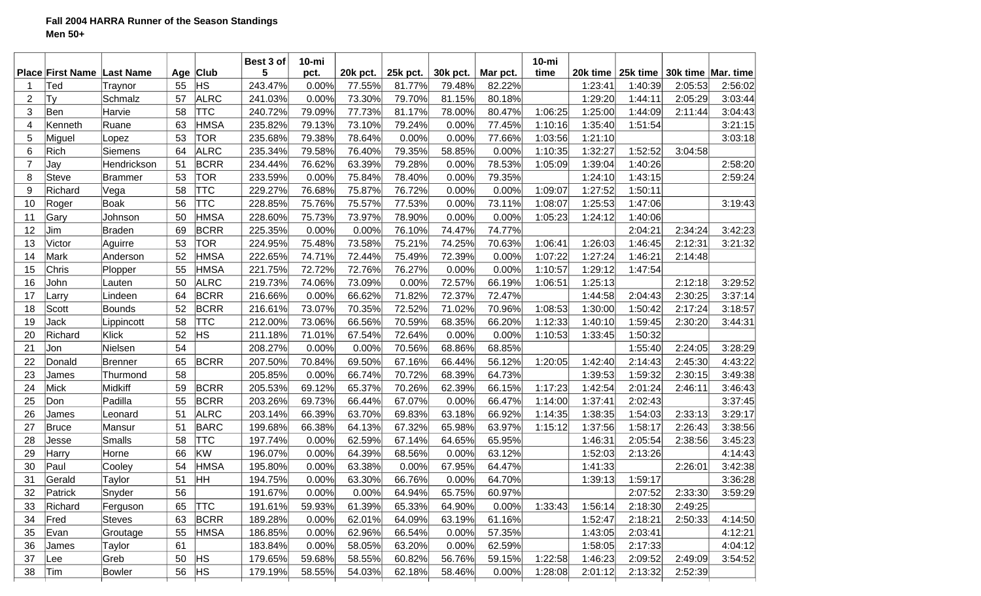|                |                                   |               |    |             | Best 3 of | $10$ -mi |          |          |          |          | $10 - mi$ |          |          |                    |         |
|----------------|-----------------------------------|---------------|----|-------------|-----------|----------|----------|----------|----------|----------|-----------|----------|----------|--------------------|---------|
|                | <b>Place First Name Last Name</b> |               |    | Age Club    | 5         | pct.     | 20k pct. | 25k pct. | 30k pct. | Mar pct. | time      | 20k time | 25k time | 30k time Mar. time |         |
|                | Ted                               | Traynor       | 55 | ∣HS         | 243.47%   | 0.00%    | 77.55%   | 81.77%   | 79.48%   | 82.22%   |           | 1:23:41  | 1:40:39  | 2:05:53            | 2:56:02 |
| 2              | Ty                                | Schmalz       | 57 | ALRC        | 241.03%   | 0.00%    | 73.30%   | 79.70%   | 81.15%   | 80.18%   |           | 1:29:20  | 1:44:11  | 2:05:29            | 3:03:44 |
| 3              | Ben                               | Harvie        | 58 | <b>TTC</b>  | 240.72%   | 79.09%   | 77.73%   | 81.17%   | 78.00%   | 80.47%   | 1:06:25   | 1:25:00  | 1:44:09  | 2:11:44            | 3:04:43 |
| 4              | Kenneth                           | Ruane         | 63 | <b>HMSA</b> | 235.82%   | 79.13%   | 73.10%   | 79.24%   | 0.00%    | 77.45%   | 1:10:16   | 1:35:40  | 1:51:54  |                    | 3:21:15 |
| 5              | Miguel                            | Lopez         | 53 | <b>TOR</b>  | 235.68%   | 79.38%   | 78.64%   | 0.00%    | 0.00%    | 77.66%   | 1:03:56   | 1:21:10  |          |                    | 3:03:18 |
| 6              | Rich                              | Siemens       | 64 | <b>ALRC</b> | 235.34%   | 79.58%   | 76.40%   | 79.35%   | 58.85%   | 0.00%    | 1:10:35   | 1:32:27  | 1:52:52  | 3:04:58            |         |
| $\overline{7}$ | Jay                               | Hendrickson   | 51 | BCRR        | 234.44%   | 76.62%   | 63.39%   | 79.28%   | 0.00%    | 78.53%   | 1:05:09   | 1:39:04  | 1:40:26  |                    | 2:58:20 |
| 8              | <b>Steve</b>                      | Brammer       | 53 | TOR         | 233.59%   | 0.00%    | 75.84%   | 78.40%   | 0.00%    | 79.35%   |           | 1:24:10  | 1:43:15  |                    | 2:59:24 |
| 9              | Richard                           | Vega          | 58 | TTC         | 229.27%   | 76.68%   | 75.87%   | 76.72%   | 0.00%    | 0.00%    | 1:09:07   | 1:27:52  | 1:50:11  |                    |         |
| 10             | Roger                             | Boak          | 56 | <b>TTC</b>  | 228.85%   | 75.76%   | 75.57%   | 77.53%   | 0.00%    | 73.11%   | 1:08:07   | 1:25:53  | 1:47:06  |                    | 3:19:43 |
| 11             | Gary                              | Johnson       | 50 | <b>HMSA</b> | 228.60%   | 75.73%   | 73.97%   | 78.90%   | 0.00%    | 0.00%    | 1:05:23   | 1:24:12  | 1:40:06  |                    |         |
| 12             | Jim                               | Braden        | 69 | <b>BCRR</b> | 225.35%   | 0.00%    | 0.00%    | 76.10%   | 74.47%   | 74.77%   |           |          | 2:04:21  | 2:34:24            | 3:42:23 |
| 13             | Victor                            | Aguirre       | 53 | TOR         | 224.95%   | 75.48%   | 73.58%   | 75.21%   | 74.25%   | 70.63%   | 1:06:41   | 1:26:03  | 1:46:45  | 2:12:31            | 3:21:32 |
| 14             | Mark                              | Anderson      | 52 | <b>HMSA</b> | 222.65%   | 74.71%   | 72.44%   | 75.49%   | 72.39%   | 0.00%    | 1:07:22   | 1:27:24  | 1:46:21  | 2:14:48            |         |
| 15             | Chris                             | Plopper       | 55 | <b>HMSA</b> | 221.75%   | 72.72%   | 72.76%   | 76.27%   | 0.00%    | 0.00%    | 1:10:57   | 1:29:12  | 1:47:54  |                    |         |
| 16             | John                              | Lauten        | 50 | <b>ALRC</b> | 219.73%   | 74.06%   | 73.09%   | 0.00%    | 72.57%   | 66.19%   | 1:06:51   | 1:25:13  |          | 2:12:18            | 3:29:52 |
| 17             | Larry                             | Lindeen       | 64 | <b>BCRR</b> | 216.66%   | 0.00%    | 66.62%   | 71.82%   | 72.37%   | 72.47%   |           | 1:44:58  | 2:04:43  | 2:30:25            | 3:37:14 |
| 18             | Scott                             | Bounds        | 52 | <b>BCRR</b> | 216.61%   | 73.07%   | 70.35%   | 72.52%   | 71.02%   | 70.96%   | 1:08:53   | 1:30:00  | 1:50:42  | 2:17:24            | 3:18:57 |
| 19             | Jack                              | Lippincott    | 58 | <b>TTC</b>  | 212.00%   | 73.06%   | 66.56%   | 70.59%   | 68.35%   | 66.20%   | 1:12:33   | 1:40:10  | 1:59:45  | 2:30:20            | 3:44:31 |
| 20             | Richard                           | Klick         | 52 | HS.         | 211.18%   | 71.01%   | 67.54%   | 72.64%   | 0.00%    | 0.00%    | 1:10:53   | 1:33:45  | 1:50:32  |                    |         |
| 21             | Jon                               | Nielsen       | 54 |             | 208.27%   | 0.00%    | 0.00%    | 70.56%   | 68.86%   | 68.85%   |           |          | 1:55:40  | 2:24:05            | 3:28:29 |
| 22             | Donald                            | Brenner       | 65 | <b>BCRR</b> | 207.50%   | 70.84%   | 69.50%   | 67.16%   | 66.44%   | 56.12%   | 1:20:05   | 1:42:40  | 2:14:43  | 2:45:30            | 4:43:22 |
| 23             | James                             | Thurmond      | 58 |             | 205.85%   | 0.00%    | 66.74%   | 70.72%   | 68.39%   | 64.73%   |           | 1:39:53  | 1:59:32  | 2:30:15            | 3:49:38 |
| 24             | Mick                              | Midkiff       | 59 | <b>BCRR</b> | 205.53%   | 69.12%   | 65.37%   | 70.26%   | 62.39%   | 66.15%   | 1:17:23   | 1:42:54  | 2:01:24  | 2:46:11            | 3:46:43 |
| 25             | Don                               | Padilla       | 55 | <b>BCRR</b> | 203.26%   | 69.73%   | 66.44%   | 67.07%   | 0.00%    | 66.47%   | 1:14:00   | 1:37:41  | 2:02:43  |                    | 3:37:45 |
| 26             | James                             | Leonard       | 51 | ALRC        | 203.14%   | 66.39%   | 63.70%   | 69.83%   | 63.18%   | 66.92%   | 1:14:35   | 1:38:35  | 1:54:03  | 2:33:13            | 3:29:17 |
| 27             | <b>Bruce</b>                      | Mansur        | 51 | <b>BARC</b> | 199.68%   | 66.38%   | 64.13%   | 67.32%   | 65.98%   | 63.97%   | 1:15:12   | 1:37:56  | 1:58:17  | 2:26:43            | 3:38:56 |
| 28             | Jesse                             | Smalls        | 58 | TTC         | 197.74%   | 0.00%    | 62.59%   | 67.14%   | 64.65%   | 65.95%   |           | 1:46:31  | 2:05:54  | 2:38:56            | 3:45:23 |
| 29             | Harry                             | Horne         | 66 | KW          | 196.07%   | 0.00%    | 64.39%   | 68.56%   | 0.00%    | 63.12%   |           | 1:52:03  | 2:13:26  |                    | 4:14:43 |
| 30             | Paul                              | Cooley        | 54 | <b>HMSA</b> | 195.80%   | 0.00%    | 63.38%   | 0.00%    | 67.95%   | 64.47%   |           | 1:41:33  |          | 2:26:01            | 3:42:38 |
| 31             | Gerald                            | Taylor        | 51 | HH          | 194.75%   | 0.00%    | 63.30%   | 66.76%   | 0.00%    | 64.70%   |           | 1:39:13  | 1:59:17  |                    | 3:36:28 |
| 32             | Patrick                           | Snyder        | 56 |             | 191.67%   | 0.00%    | 0.00%    | 64.94%   | 65.75%   | 60.97%   |           |          | 2:07:52  | 2:33:30            | 3:59:29 |
| 33             | Richard                           | Ferguson      | 65 | <b>TTC</b>  | 191.61%   | 59.93%   | 61.39%   | 65.33%   | 64.90%   | 0.00%    | 1:33:43   | 1:56:14  | 2:18:30  | 2:49:25            |         |
| 34             | Fred                              | <b>Steves</b> | 63 | <b>BCRR</b> | 189.28%   | 0.00%    | 62.01%   | 64.09%   | 63.19%   | 61.16%   |           | 1:52:47  | 2:18:21  | 2:50:33            | 4:14:50 |
| 35             | Evan                              | Groutage      | 55 | <b>HMSA</b> | 186.85%   | 0.00%    | 62.96%   | 66.54%   | 0.00%    | 57.35%   |           | 1:43:05  | 2:03:41  |                    | 4:12:21 |
| 36             |                                   |               | 61 |             | 183.84%   |          | 58.05%   | 63.20%   |          | 62.59%   |           | 1:58:05  |          |                    | 4:04:12 |
|                | James                             | Taylor        |    | <b>HS</b>   |           | 0.00%    |          |          | 0.00%    |          |           |          | 2:17:33  |                    |         |
| 37             | Lee                               | Greb          | 50 |             | 179.65%   | 59.68%   | 58.55%   | 60.82%   | 56.76%   | 59.15%   | 1:22:58   | 1:46:23  | 2:09:52  | 2:49:09            | 3:54:52 |
| 38             | Tim                               | <b>Bowler</b> | 56 | <b>HS</b>   | 179.19%   | 58.55%   | 54.03%   | 62.18%   | 58.46%   | 0.00%    | 1:28:08   | 2:01:12  | 2:13:32  | 2:52:39            |         |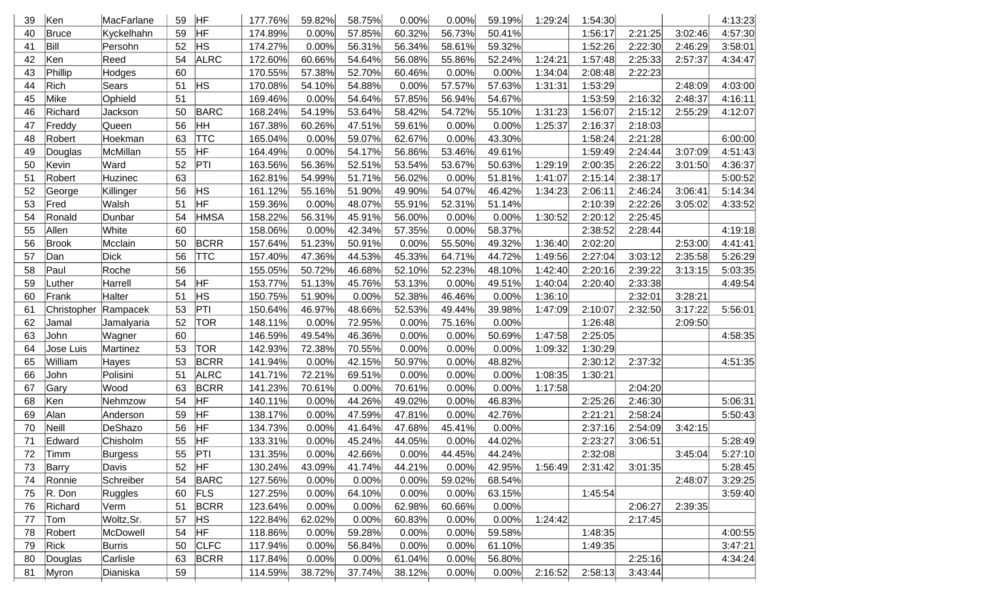| 39 | Ken                  | MacFarlane  | 59 | HF          | 177.76% | 59.82% | 58.75% | 0.00%  | 0.00%  | 59.19% | 1:29:24 | 1:54:30 |         |         | 4:13:23 |
|----|----------------------|-------------|----|-------------|---------|--------|--------|--------|--------|--------|---------|---------|---------|---------|---------|
| 40 | Bruce                | Kyckelhahn  | 59 | HF          | 174.89% | 0.00%  | 57.85% | 60.32% | 56.73% | 50.41% |         | 1:56:17 | 2:21:25 | 3:02:46 | 4:57:30 |
| 41 | Bill                 | Persohn     | 52 | <b>HS</b>   | 174.27% | 0.00%  | 56.31% | 56.34% | 58.61% | 59.32% |         | 1:52:26 | 2:22:30 | 2:46:29 | 3:58:01 |
| 42 | Ken                  | Reed        | 54 | <b>ALRC</b> | 172.60% | 60.66% | 54.64% | 56.08% | 55.86% | 52.24% | 1:24:21 | 1:57:48 | 2:25:33 | 2:57:37 | 4:34:47 |
| 43 | Phillip              | Hodges      | 60 |             | 170.55% | 57.38% | 52.70% | 60.46% | 0.00%  | 0.00%  | 1:34:04 | 2:08:48 | 2:22:23 |         |         |
| 44 | Rich                 | Sears       | 51 | <b>HS</b>   | 170.08% | 54.10% | 54.88% | 0.00%  | 57.57% | 57.63% | 1:31:31 | 1:53:29 |         | 2:48:09 | 4:03:00 |
| 45 | Mike                 | Ophield     | 51 |             | 169.46% | 0.00%  | 54.64% | 57.85% | 56.94% | 54.67% |         | 1:53:59 | 2:16:32 | 2:48:37 | 4:16:11 |
| 46 | Richard              | Jackson     | 50 | <b>BARC</b> | 168.24% | 54.19% | 53.64% | 58.42% | 54.72% | 55.10% | 1:31:23 | 1:56:07 | 2:15:12 | 2:55:29 | 4:12:07 |
| 47 | Freddy               | Queen       | 56 | HΗ          | 167.38% | 60.26% | 47.51% | 59.61% | 0.00%  | 0.00%  | 1:25:37 | 2:16:37 | 2:18:03 |         |         |
| 48 | Robert               | Hoekman     | 63 | TTC         | 165.04% | 0.00%  | 59.07% | 62.67% | 0.00%  | 43.30% |         | 1:58:24 | 2:21:28 |         | 6:00:00 |
| 49 | Douglas              | McMillan    | 55 | HF          | 164.49% | 0.00%  | 54.17% | 56.86% | 53.46% | 49.61% |         | 1:59:49 | 2:24:44 | 3:07:09 | 4:51:43 |
| 50 | Kevin                | Ward        | 52 | PTI         | 163.56% | 56.36% | 52.51% | 53.54% | 53.67% | 50.63% | 1:29:19 | 2:00:35 | 2:26:22 | 3:01:50 | 4:36:37 |
| 51 | Robert               | Huzinec     | 63 |             | 162.81% | 54.99% | 51.71% | 56.02% | 0.00%  | 51.81% | 1:41:07 | 2:15:14 | 2:38:17 |         | 5:00:52 |
| 52 | George               | Killinger   | 56 | HS          | 161.12% | 55.16% | 51.90% | 49.90% | 54.07% | 46.42% | 1:34:23 | 2:06:11 | 2:46:24 | 3:06:41 | 5:14:34 |
| 53 | Fred                 | Walsh       | 51 | HF          | 159.36% | 0.00%  | 48.07% | 55.91% | 52.31% | 51.14% |         | 2:10:39 | 2:22:26 | 3:05:02 | 4:33:52 |
| 54 | Ronald               | Dunbar      | 54 | <b>HMSA</b> | 158.22% | 56.31% | 45.91% | 56.00% | 0.00%  | 0.00%  | 1:30:52 | 2:20:12 | 2:25:45 |         |         |
| 55 | Allen                | White       | 60 |             | 158.06% | 0.00%  | 42.34% | 57.35% | 0.00%  | 58.37% |         | 2:38:52 | 2:28:44 |         | 4:19:18 |
| 56 | Brook                | Mcclain     | 50 | <b>BCRR</b> | 157.64% | 51.23% | 50.91% | 0.00%  | 55.50% | 49.32% | 1:36:40 | 2:02:20 |         | 2:53:00 | 4:41:41 |
| 57 | Dan                  | <b>Dick</b> | 56 | <b>TTC</b>  | 157.40% | 47.36% | 44.53% | 45.33% | 64.71% | 44.72% | 1:49:56 | 2:27:04 | 3:03:12 | 2:35:58 | 5:26:29 |
| 58 | Paul                 | Roche       | 56 |             | 155.05% | 50.72% | 46.68% | 52.10% | 52.23% | 48.10% | 1:42:40 | 2:20:16 | 2:39:22 | 3:13:15 | 5:03:35 |
| 59 | Luther               | Harrell     | 54 | <b>HF</b>   | 153.77% | 51.13% | 45.76% | 53.13% | 0.00%  | 49.51% | 1:40:04 | 2:20:40 | 2:33:38 |         | 4:49:54 |
| 60 | Frank                | Halter      | 51 | <b>HS</b>   | 150.75% | 51.90% | 0.00%  | 52.38% | 46.46% | 0.00%  | 1:36:10 |         | 2:32:01 | 3:28:21 |         |
| 61 | Christopher Rampacek |             | 53 | PT          | 150.64% | 46.97% | 48.66% | 52.53% | 49.44% | 39.98% | 1:47:09 | 2:10:07 | 2:32:50 | 3:17:22 | 5:56:01 |
| 62 | Jamal                | Jamalyaria  | 52 | <b>TOR</b>  | 148.11% | 0.00%  | 72.95% | 0.00%  | 75.16% | 0.00%  |         | 1:26:48 |         | 2:09:50 |         |
| 63 | John                 | Wagner      | 60 |             | 146.59% | 49.54% | 46.36% | 0.00%  | 0.00%  | 50.69% | 1:47:58 | 2:25:05 |         |         | 4:58:35 |
| 64 | Jose Luis            | Martinez    | 53 | <b>TOR</b>  | 142.93% | 72.38% | 70.55% | 0.00%  | 0.00%  | 0.00%  | 1:09:32 | 1:30:29 |         |         |         |
| 65 | William              | Hayes       | 53 | <b>BCRR</b> | 141.94% | 0.00%  | 42.15% | 50.97% | 0.00%  | 48.82% |         | 2:30:12 | 2:37:32 |         | 4:51:35 |
| 66 | John                 | Polisini    | 51 | <b>ALRC</b> | 141.71% | 72.21% | 69.51% | 0.00%  | 0.00%  | 0.00%  | 1:08:35 | 1:30:21 |         |         |         |
| 67 | Gary                 | Wood        | 63 | <b>BCRR</b> | 141.23% | 70.61% | 0.00%  | 70.61% | 0.00%  | 0.00%  | 1:17:58 |         | 2:04:20 |         |         |
| 68 | Ken                  | Nehmzow     | 54 | HF          | 140.11% | 0.00%  | 44.26% | 49.02% | 0.00%  | 46.83% |         | 2:25:26 | 2:46:30 |         | 5:06:31 |
| 69 | Alan                 | Anderson    | 59 | HF          | 138.17% | 0.00%  | 47.59% | 47.81% | 0.00%  | 42.76% |         | 2:21:21 | 2:58:24 |         | 5:50:43 |
| 70 | Neill                | DeShazo     | 56 | HF          | 134.73% | 0.00%  | 41.64% | 47.68% | 45.41% | 0.00%  |         | 2:37:16 | 2:54:09 | 3:42:15 |         |
| 71 | Edward               | Chisholm    | 55 | HF          | 133.31% | 0.00%  | 45.24% | 44.05% | 0.00%  | 44.02% |         | 2:23:27 | 3:06:51 |         | 5:28:49 |
| 72 | Timm                 | Burgess     |    | 55 PTI      | 131.35% | 0.00%  | 42.66% | 0.00%  | 44.45% | 44.24% |         | 2:32:08 |         | 3:45:04 | 5:27:10 |
| 73 | Barry                | Davis       | 52 | HF          | 130.24% | 43.09% | 41.74% | 44.21% | 0.00%  | 42.95% | 1:56:49 | 2:31:42 | 3:01:35 |         | 5:28:45 |
| 74 | Ronnie               | Schreiber   | 54 | BARC        | 127.56% | 0.00%  | 0.00%  | 0.00%  | 59.02% | 68.54% |         |         |         | 2:48:07 | 3:29:25 |
| 75 | R. Don               | Ruggles     | 60 | FLS         | 127.25% | 0.00%  | 64.10% | 0.00%  | 0.00%  | 63.15% |         | 1:45:54 |         |         | 3:59:40 |
| 76 | Richard              | Verm        | 51 | BCRR        | 123.64% | 0.00%  | 0.00%  | 62.98% | 60.66% | 0.00%  |         |         | 2:06:27 | 2:39:35 |         |
| 77 | Tom                  | Woltz, Sr.  | 57 | <b>HS</b>   | 122.84% | 62.02% | 0.00%  | 60.83% | 0.00%  | 0.00%  | 1:24:42 |         | 2:17:45 |         |         |
| 78 | Robert               | McDowell    | 54 | HF          | 118.86% | 0.00%  | 59.28% | 0.00%  | 0.00%  | 59.58% |         | 1:48:35 |         |         | 4:00:55 |
| 79 | <b>Rick</b>          | Burris      | 50 | <b>CLFC</b> | 117.94% | 0.00%  | 56.84% | 0.00%  | 0.00%  | 61.10% |         | 1:49:35 |         |         | 3:47:21 |
| 80 | Douglas              | Carlisle    | 63 | <b>BCRR</b> | 117.84% | 0.00%  | 0.00%  | 61.04% | 0.00%  | 56.80% |         |         | 2:25:16 |         | 4:34:24 |
| 81 | Myron                | Dianiska    | 59 |             | 114.59% | 38.72% | 37.74% | 38.12% | 0.00%  | 0.00%  | 2:16:52 | 2:58:13 | 3:43:44 |         |         |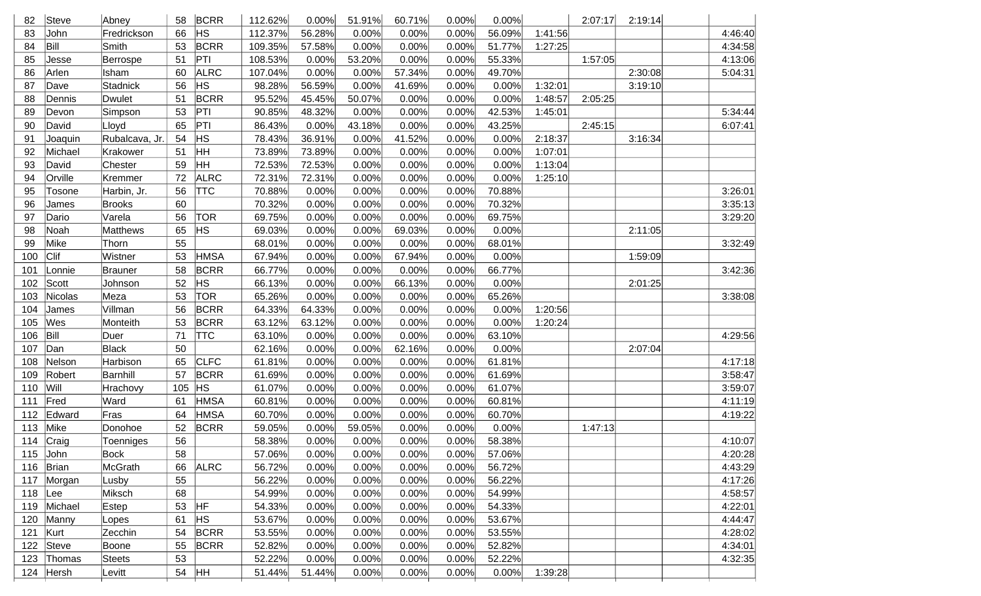| 82        | Steve       | Abney           | 58  | <b>BCRR</b>    | 112.62% | 0.00%  | 51.91% | 60.71% | 0.00% | 0.00%  |         | 2:07:17 | 2:19:14 |         |
|-----------|-------------|-----------------|-----|----------------|---------|--------|--------|--------|-------|--------|---------|---------|---------|---------|
| 83        | John        | Fredrickson     | 66  | <b>HS</b>      | 112.37% | 56.28% | 0.00%  | 0.00%  | 0.00% | 56.09% | 1:41:56 |         |         | 4:46:40 |
| 84        | Bill        | Smith           | 53  | <b>BCRR</b>    | 109.35% | 57.58% | 0.00%  | 0.00%  | 0.00% | 51.77% | 1:27:25 |         |         | 4:34:58 |
| 85        | Jesse       | Berrospe        | 51  | PTI            | 108.53% | 0.00%  | 53.20% | 0.00%  | 0.00% | 55.33% |         | 1:57:05 |         | 4:13:06 |
| 86        | Arlen       | Isham           | 60  | <b>ALRC</b>    | 107.04% | 0.00%  | 0.00%  | 57.34% | 0.00% | 49.70% |         |         | 2:30:08 | 5:04:31 |
| 87        | Dave        | <b>Stadnick</b> | 56  | HS             | 98.28%  | 56.59% | 0.00%  | 41.69% | 0.00% | 0.00%  | 1:32:01 |         | 3:19:10 |         |
| 88        | Dennis      | <b>Dwulet</b>   | 51  | <b>BCRR</b>    | 95.52%  | 45.45% | 50.07% | 0.00%  | 0.00% | 0.00%  | 1:48:57 | 2:05:25 |         |         |
| 89        | Devon       | Simpson         | 53  | PT             | 90.85%  | 48.32% | 0.00%  | 0.00%  | 0.00% | 42.53% | 1:45:01 |         |         | 5:34:44 |
| 90        | David       | Lloyd           | 65  | PT             | 86.43%  | 0.00%  | 43.18% | 0.00%  | 0.00% | 43.25% |         | 2:45:15 |         | 6:07:41 |
| 91        | Joaquin     | Rubalcava, Jr.  | 54  | <b>HS</b>      | 78.43%  | 36.91% | 0.00%  | 41.52% | 0.00% | 0.00%  | 2:18:37 |         | 3:16:34 |         |
| 92        | Michael     | Krakower        | 51  | HH             | 73.89%  | 73.89% | 0.00%  | 0.00%  | 0.00% | 0.00%  | 1:07:01 |         |         |         |
| 93        | David       | Chester         | 59  | HH             | 72.53%  | 72.53% | 0.00%  | 0.00%  | 0.00% | 0.00%  | 1:13:04 |         |         |         |
| 94        | Orville     | Kremmer         | 72  | <b>ALRC</b>    | 72.31%  | 72.31% | 0.00%  | 0.00%  | 0.00% | 0.00%  | 1:25:10 |         |         |         |
| 95        | Tosone      | Harbin, Jr.     | 56  | <b>TTC</b>     | 70.88%  | 0.00%  | 0.00%  | 0.00%  | 0.00% | 70.88% |         |         |         | 3:26:01 |
| 96        | James       | <b>Brooks</b>   | 60  |                | 70.32%  | 0.00%  | 0.00%  | 0.00%  | 0.00% | 70.32% |         |         |         | 3:35:13 |
| 97        | Dario       | Varela          | 56  | <b>TOR</b>     | 69.75%  | 0.00%  | 0.00%  | 0.00%  | 0.00% | 69.75% |         |         |         | 3:29:20 |
| 98        | Noah        | <b>Matthews</b> | 65  | <b>HS</b>      | 69.03%  | 0.00%  | 0.00%  | 69.03% | 0.00% | 0.00%  |         |         | 2:11:05 |         |
| 99        | Mike        | Thorn           | 55  |                | 68.01%  | 0.00%  | 0.00%  | 0.00%  | 0.00% | 68.01% |         |         |         | 3:32:49 |
| 100       | Clif        | Wistner         | 53  | <b>HMSA</b>    | 67.94%  | 0.00%  | 0.00%  | 67.94% | 0.00% | 0.00%  |         |         | 1:59:09 |         |
| 101       | Lonnie      | <b>Brauner</b>  | 58  | <b>BCRR</b>    | 66.77%  | 0.00%  | 0.00%  | 0.00%  | 0.00% | 66.77% |         |         |         | 3:42:36 |
| 102       | Scott       | Johnson         | 52  | <b>HS</b>      | 66.13%  | 0.00%  | 0.00%  | 66.13% | 0.00% | 0.00%  |         |         | 2:01:25 |         |
| 103       | Nicolas     | Meza            | 53  | TOR            | 65.26%  | 0.00%  | 0.00%  | 0.00%  | 0.00% | 65.26% |         |         |         | 3:38:08 |
| 104       | James       | Villman         | 56  | <b>BCRR</b>    | 64.33%  | 64.33% | 0.00%  | 0.00%  | 0.00% | 0.00%  | 1:20:56 |         |         |         |
| 105       | Wes         | Monteith        | 53  | <b>BCRR</b>    | 63.12%  | 63.12% | 0.00%  | 0.00%  | 0.00% | 0.00%  | 1:20:24 |         |         |         |
| 106       | Bill        | Duer            | 71  | <b>TTC</b>     | 63.10%  | 0.00%  | 0.00%  | 0.00%  | 0.00% | 63.10% |         |         |         | 4:29:56 |
| 107       | Dan         | <b>Black</b>    | 50  |                | 62.16%  | 0.00%  | 0.00%  | 62.16% | 0.00% | 0.00%  |         |         | 2:07:04 |         |
| 108       | Nelson      | Harbison        | 65  | <b>CLFC</b>    | 61.81%  | 0.00%  | 0.00%  | 0.00%  | 0.00% | 61.81% |         |         |         | 4:17:18 |
| 109       | Robert      | Barnhill        | 57  | <b>BCRR</b>    | 61.69%  | 0.00%  | 0.00%  | 0.00%  | 0.00% | 61.69% |         |         |         | 3:58:47 |
| 110       | Will        | Hrachovy        | 105 | H <sub>S</sub> | 61.07%  | 0.00%  | 0.00%  | 0.00%  | 0.00% | 61.07% |         |         |         | 3:59:07 |
| 111       | Fred        | Ward            | 61  | <b>HMSA</b>    | 60.81%  | 0.00%  | 0.00%  | 0.00%  | 0.00% | 60.81% |         |         |         | 4:11:19 |
| 112       | Edward      | Fras            | 64  | <b>HMSA</b>    | 60.70%  | 0.00%  | 0.00%  | 0.00%  | 0.00% | 60.70% |         |         |         | 4:19:22 |
| 113       | Mike        | Donohoe         | 52  | <b>BCRR</b>    | 59.05%  | 0.00%  | 59.05% | 0.00%  | 0.00% | 0.00%  |         | 1:47:13 |         |         |
|           | 114 Craig   | Toenniges       | 56  |                | 58.38%  | 0.00%  | 0.00%  | 0.00%  | 0.00% | 58.38% |         |         |         | 4:10:07 |
|           | 115 $John$  | <b>Bock</b>     | 58  |                | 57.06%  | 0.00%  | 0.00%  | 0.00%  | 0.00% | 57.06% |         |         |         | 4:20:28 |
| 116       | Brian       | McGrath         | 66  | <b>ALRC</b>    | 56.72%  | 0.00%  | 0.00%  | 0.00%  | 0.00% | 56.72% |         |         |         | 4:43:29 |
| 117       | Morgan      | Lusby           | 55  |                | 56.22%  | 0.00%  | 0.00%  | 0.00%  | 0.00% | 56.22% |         |         |         | 4:17:26 |
| $118$ Lee |             | Miksch          | 68  |                | 54.99%  | 0.00%  | 0.00%  | 0.00%  | 0.00% | 54.99% |         |         |         | 4:58:57 |
|           | 119 Michael | Estep           | 53  | HF             | 54.33%  | 0.00%  | 0.00%  | 0.00%  | 0.00% | 54.33% |         |         |         | 4:22:01 |
| 120       | Manny       | Lopes           | 61  | <b>HS</b>      | 53.67%  | 0.00%  | 0.00%  | 0.00%  | 0.00% | 53.67% |         |         |         | 4:44:47 |
| 121       | Kurt        | Zecchin         | 54  | <b>BCRR</b>    | 53.55%  | 0.00%  | 0.00%  | 0.00%  | 0.00% | 53.55% |         |         |         | 4:28:02 |
| 122       | Steve       | Boone           | 55  | <b>BCRR</b>    | 52.82%  | 0.00%  | 0.00%  | 0.00%  | 0.00% | 52.82% |         |         |         | 4:34:01 |
|           | 123 Thomas  | Steets          | 53  |                | 52.22%  | 0.00%  | 0.00%  | 0.00%  | 0.00% | 52.22% |         |         |         | 4:32:35 |
|           | 124 Hersh   | Levitt          | 54  | <b>HH</b>      | 51.44%  | 51.44% | 0.00%  | 0.00%  | 0.00% | 0.00%  | 1:39:28 |         |         |         |